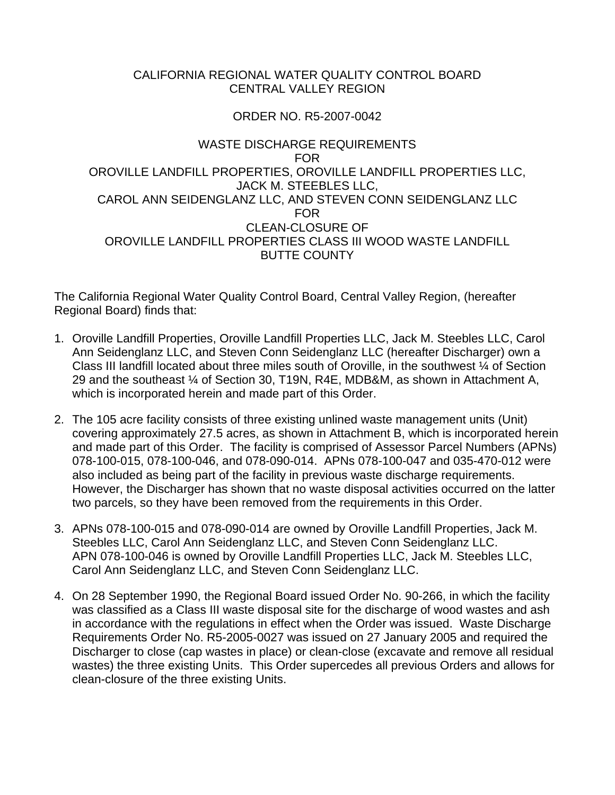# CALIFORNIA REGIONAL WATER QUALITY CONTROL BOARD CENTRAL VALLEY REGION

## ORDER NO. R5-2007-0042

## WASTE DISCHARGE REQUIREMENTS FOR OROVILLE LANDFILL PROPERTIES, OROVILLE LANDFILL PROPERTIES LLC, JACK M. STEEBLES LLC, CAROL ANN SEIDENGLANZ LLC, AND STEVEN CONN SEIDENGLANZ LLC FOR CLEAN-CLOSURE OF OROVILLE LANDFILL PROPERTIES CLASS III WOOD WASTE LANDFILL BUTTE COUNTY

The California Regional Water Quality Control Board, Central Valley Region, (hereafter Regional Board) finds that:

- 1. Oroville Landfill Properties, Oroville Landfill Properties LLC, Jack M. Steebles LLC, Carol Ann Seidenglanz LLC, and Steven Conn Seidenglanz LLC (hereafter Discharger) own a Class III landfill located about three miles south of Oroville, in the southwest ¼ of Section 29 and the southeast ¼ of Section 30, T19N, R4E, MDB&M, as shown in Attachment A, which is incorporated herein and made part of this Order.
- 2. The 105 acre facility consists of three existing unlined waste management units (Unit) covering approximately 27.5 acres, as shown in Attachment B, which is incorporated herein and made part of this Order. The facility is comprised of Assessor Parcel Numbers (APNs) 078-100-015, 078-100-046, and 078-090-014. APNs 078-100-047 and 035-470-012 were also included as being part of the facility in previous waste discharge requirements. However, the Discharger has shown that no waste disposal activities occurred on the latter two parcels, so they have been removed from the requirements in this Order.
- 3. APNs 078-100-015 and 078-090-014 are owned by Oroville Landfill Properties, Jack M. Steebles LLC, Carol Ann Seidenglanz LLC, and Steven Conn Seidenglanz LLC. APN 078-100-046 is owned by Oroville Landfill Properties LLC, Jack M. Steebles LLC, Carol Ann Seidenglanz LLC, and Steven Conn Seidenglanz LLC.
- 4. On 28 September 1990, the Regional Board issued Order No. 90-266, in which the facility was classified as a Class III waste disposal site for the discharge of wood wastes and ash in accordance with the regulations in effect when the Order was issued. Waste Discharge Requirements Order No. R5-2005-0027 was issued on 27 January 2005 and required the Discharger to close (cap wastes in place) or clean-close (excavate and remove all residual wastes) the three existing Units. This Order supercedes all previous Orders and allows for clean-closure of the three existing Units.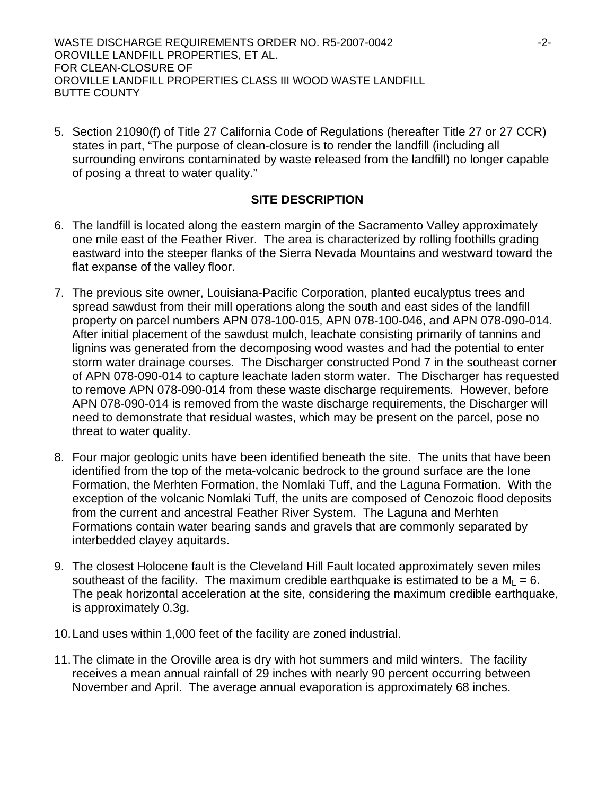WASTE DISCHARGE REQUIREMENTS ORDER NO. R5-2007-0042 ----------------------------OROVILLE LANDFILL PROPERTIES, ET AL. FOR CLEAN-CLOSURE OF OROVILLE LANDFILL PROPERTIES CLASS III WOOD WASTE LANDFILL BUTTE COUNTY

5. Section 21090(f) of Title 27 California Code of Regulations (hereafter Title 27 or 27 CCR) states in part, "The purpose of clean-closure is to render the landfill (including all surrounding environs contaminated by waste released from the landfill) no longer capable of posing a threat to water quality."

# **SITE DESCRIPTION**

- 6. The landfill is located along the eastern margin of the Sacramento Valley approximately one mile east of the Feather River. The area is characterized by rolling foothills grading eastward into the steeper flanks of the Sierra Nevada Mountains and westward toward the flat expanse of the valley floor.
- 7. The previous site owner, Louisiana-Pacific Corporation, planted eucalyptus trees and spread sawdust from their mill operations along the south and east sides of the landfill property on parcel numbers APN 078-100-015, APN 078-100-046, and APN 078-090-014. After initial placement of the sawdust mulch, leachate consisting primarily of tannins and lignins was generated from the decomposing wood wastes and had the potential to enter storm water drainage courses. The Discharger constructed Pond 7 in the southeast corner of APN 078-090-014 to capture leachate laden storm water. The Discharger has requested to remove APN 078-090-014 from these waste discharge requirements. However, before APN 078-090-014 is removed from the waste discharge requirements, the Discharger will need to demonstrate that residual wastes, which may be present on the parcel, pose no threat to water quality.
- 8. Four major geologic units have been identified beneath the site. The units that have been identified from the top of the meta-volcanic bedrock to the ground surface are the Ione Formation, the Merhten Formation, the Nomlaki Tuff, and the Laguna Formation. With the exception of the volcanic Nomlaki Tuff, the units are composed of Cenozoic flood deposits from the current and ancestral Feather River System. The Laguna and Merhten Formations contain water bearing sands and gravels that are commonly separated by interbedded clayey aquitards.
- 9. The closest Holocene fault is the Cleveland Hill Fault located approximately seven miles southeast of the facility. The maximum credible earthquake is estimated to be a  $M_1 = 6$ . The peak horizontal acceleration at the site, considering the maximum credible earthquake, is approximately 0.3g.
- 10. Land uses within 1,000 feet of the facility are zoned industrial.
- 11. The climate in the Oroville area is dry with hot summers and mild winters. The facility receives a mean annual rainfall of 29 inches with nearly 90 percent occurring between November and April. The average annual evaporation is approximately 68 inches.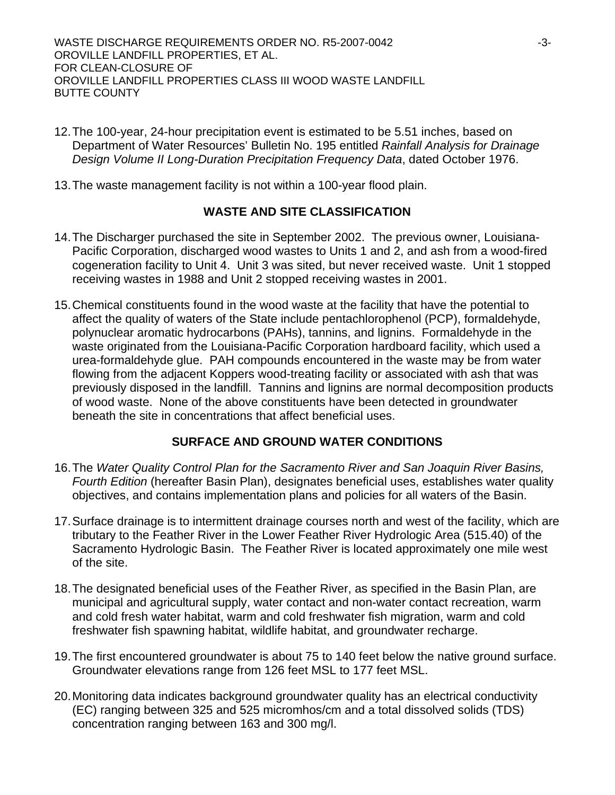WASTE DISCHARGE REQUIREMENTS ORDER NO. R5-2007-0042 -3-3-OROVILLE LANDFILL PROPERTIES, ET AL. FOR CLEAN-CLOSURE OF OROVILLE LANDFILL PROPERTIES CLASS III WOOD WASTE LANDFILL BUTTE COUNTY

- 12. The 100-year, 24-hour precipitation event is estimated to be 5.51 inches, based on Department of Water Resources' Bulletin No. 195 entitled *Rainfall Analysis for Drainage Design Volume II Long-Duration Precipitation Frequency Data*, dated October 1976.
- 13. The waste management facility is not within a 100-year flood plain.

## **WASTE AND SITE CLASSIFICATION**

- 14. The Discharger purchased the site in September 2002. The previous owner, Louisiana-Pacific Corporation, discharged wood wastes to Units 1 and 2, and ash from a wood-fired cogeneration facility to Unit 4. Unit 3 was sited, but never received waste. Unit 1 stopped receiving wastes in 1988 and Unit 2 stopped receiving wastes in 2001.
- 15. Chemical constituents found in the wood waste at the facility that have the potential to affect the quality of waters of the State include pentachlorophenol (PCP), formaldehyde, polynuclear aromatic hydrocarbons (PAHs), tannins, and lignins. Formaldehyde in the waste originated from the Louisiana-Pacific Corporation hardboard facility, which used a urea-formaldehyde glue. PAH compounds encountered in the waste may be from water flowing from the adjacent Koppers wood-treating facility or associated with ash that was previously disposed in the landfill. Tannins and lignins are normal decomposition products of wood waste. None of the above constituents have been detected in groundwater beneath the site in concentrations that affect beneficial uses.

## **SURFACE AND GROUND WATER CONDITIONS**

- 16. The *Water Quality Control Plan for the Sacramento River and San Joaquin River Basins, Fourth Edition* (hereafter Basin Plan), designates beneficial uses, establishes water quality objectives, and contains implementation plans and policies for all waters of the Basin.
- 17. Surface drainage is to intermittent drainage courses north and west of the facility, which are tributary to the Feather River in the Lower Feather River Hydrologic Area (515.40) of the Sacramento Hydrologic Basin. The Feather River is located approximately one mile west of the site.
- 18. The designated beneficial uses of the Feather River, as specified in the Basin Plan, are municipal and agricultural supply, water contact and non-water contact recreation, warm and cold fresh water habitat, warm and cold freshwater fish migration, warm and cold freshwater fish spawning habitat, wildlife habitat, and groundwater recharge.
- 19. The first encountered groundwater is about 75 to 140 feet below the native ground surface. Groundwater elevations range from 126 feet MSL to 177 feet MSL.
- 20. Monitoring data indicates background groundwater quality has an electrical conductivity (EC) ranging between 325 and 525 micromhos/cm and a total dissolved solids (TDS) concentration ranging between 163 and 300 mg/l.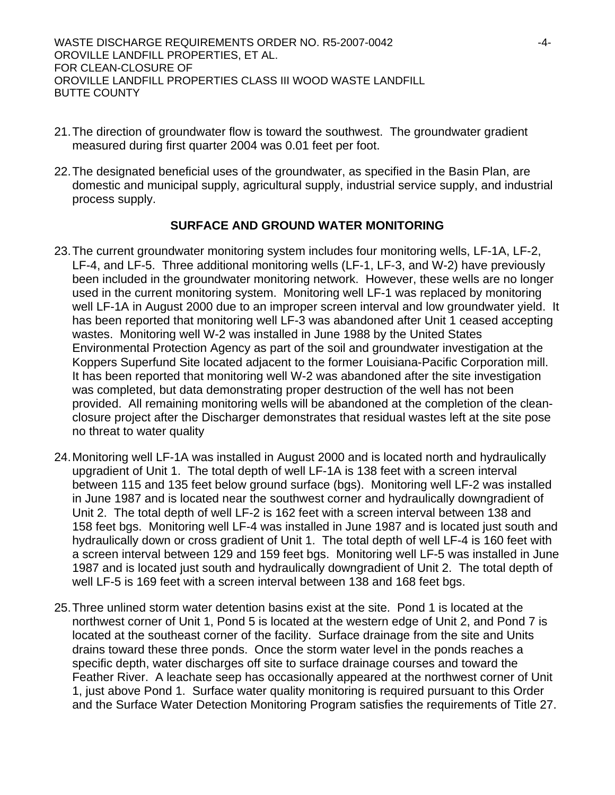WASTE DISCHARGE REQUIREMENTS ORDER NO. R5-2007-0042 -4- OROVILLE LANDFILL PROPERTIES, ET AL. FOR CLEAN-CLOSURE OF OROVILLE LANDFILL PROPERTIES CLASS III WOOD WASTE LANDFILL BUTTE COUNTY

- 21. The direction of groundwater flow is toward the southwest. The groundwater gradient measured during first quarter 2004 was 0.01 feet per foot.
- 22. The designated beneficial uses of the groundwater, as specified in the Basin Plan, are domestic and municipal supply, agricultural supply, industrial service supply, and industrial process supply.

# **SURFACE AND GROUND WATER MONITORING**

- 23. The current groundwater monitoring system includes four monitoring wells, LF-1A, LF-2, LF-4, and LF-5. Three additional monitoring wells (LF-1, LF-3, and W-2) have previously been included in the groundwater monitoring network. However, these wells are no longer used in the current monitoring system. Monitoring well LF-1 was replaced by monitoring well LF-1A in August 2000 due to an improper screen interval and low groundwater yield. It has been reported that monitoring well LF-3 was abandoned after Unit 1 ceased accepting wastes. Monitoring well W-2 was installed in June 1988 by the United States Environmental Protection Agency as part of the soil and groundwater investigation at the Koppers Superfund Site located adjacent to the former Louisiana-Pacific Corporation mill. It has been reported that monitoring well W-2 was abandoned after the site investigation was completed, but data demonstrating proper destruction of the well has not been provided. All remaining monitoring wells will be abandoned at the completion of the cleanclosure project after the Discharger demonstrates that residual wastes left at the site pose no threat to water quality
- 24. Monitoring well LF-1A was installed in August 2000 and is located north and hydraulically upgradient of Unit 1. The total depth of well LF-1A is 138 feet with a screen interval between 115 and 135 feet below ground surface (bgs). Monitoring well LF-2 was installed in June 1987 and is located near the southwest corner and hydraulically downgradient of Unit 2. The total depth of well LF-2 is 162 feet with a screen interval between 138 and 158 feet bgs. Monitoring well LF-4 was installed in June 1987 and is located just south and hydraulically down or cross gradient of Unit 1. The total depth of well LF-4 is 160 feet with a screen interval between 129 and 159 feet bgs. Monitoring well LF-5 was installed in June 1987 and is located just south and hydraulically downgradient of Unit 2. The total depth of well LF-5 is 169 feet with a screen interval between 138 and 168 feet bgs.
- 25. Three unlined storm water detention basins exist at the site. Pond 1 is located at the northwest corner of Unit 1, Pond 5 is located at the western edge of Unit 2, and Pond 7 is located at the southeast corner of the facility. Surface drainage from the site and Units drains toward these three ponds. Once the storm water level in the ponds reaches a specific depth, water discharges off site to surface drainage courses and toward the Feather River. A leachate seep has occasionally appeared at the northwest corner of Unit 1, just above Pond 1. Surface water quality monitoring is required pursuant to this Order and the Surface Water Detection Monitoring Program satisfies the requirements of Title 27.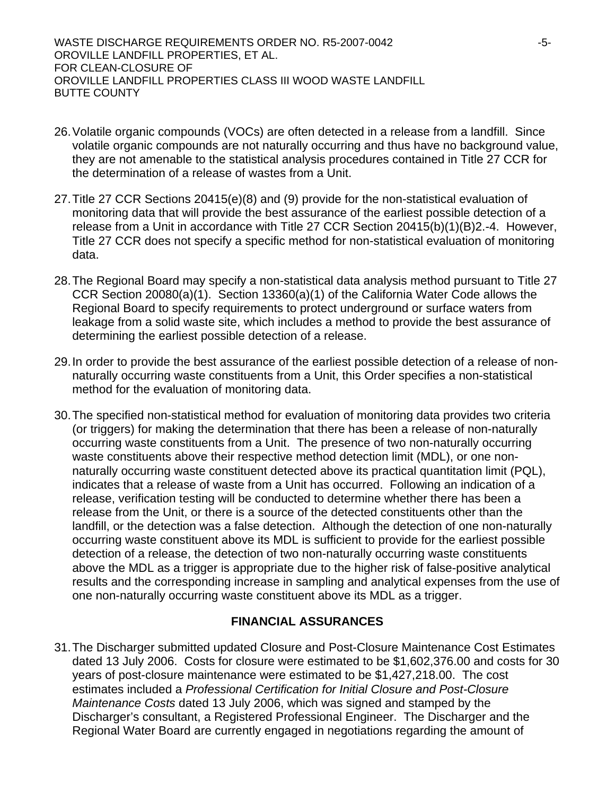WASTE DISCHARGE REQUIREMENTS ORDER NO. R5-2007-0042 -5-OROVILLE LANDFILL PROPERTIES, ET AL. FOR CLEAN-CLOSURE OF OROVILLE LANDFILL PROPERTIES CLASS III WOOD WASTE LANDFILL BUTTE COUNTY

- 26. Volatile organic compounds (VOCs) are often detected in a release from a landfill. Since volatile organic compounds are not naturally occurring and thus have no background value, they are not amenable to the statistical analysis procedures contained in Title 27 CCR for the determination of a release of wastes from a Unit.
- 27. Title 27 CCR Sections 20415(e)(8) and (9) provide for the non-statistical evaluation of monitoring data that will provide the best assurance of the earliest possible detection of a release from a Unit in accordance with Title 27 CCR Section 20415(b)(1)(B)2.-4. However, Title 27 CCR does not specify a specific method for non-statistical evaluation of monitoring data.
- 28. The Regional Board may specify a non-statistical data analysis method pursuant to Title 27 CCR Section 20080(a)(1). Section 13360(a)(1) of the California Water Code allows the Regional Board to specify requirements to protect underground or surface waters from leakage from a solid waste site, which includes a method to provide the best assurance of determining the earliest possible detection of a release.
- 29. In order to provide the best assurance of the earliest possible detection of a release of nonnaturally occurring waste constituents from a Unit, this Order specifies a non-statistical method for the evaluation of monitoring data.
- 30. The specified non-statistical method for evaluation of monitoring data provides two criteria (or triggers) for making the determination that there has been a release of non-naturally occurring waste constituents from a Unit. The presence of two non-naturally occurring waste constituents above their respective method detection limit (MDL), or one nonnaturally occurring waste constituent detected above its practical quantitation limit (PQL), indicates that a release of waste from a Unit has occurred. Following an indication of a release, verification testing will be conducted to determine whether there has been a release from the Unit, or there is a source of the detected constituents other than the landfill, or the detection was a false detection. Although the detection of one non-naturally occurring waste constituent above its MDL is sufficient to provide for the earliest possible detection of a release, the detection of two non-naturally occurring waste constituents above the MDL as a trigger is appropriate due to the higher risk of false-positive analytical results and the corresponding increase in sampling and analytical expenses from the use of one non-naturally occurring waste constituent above its MDL as a trigger.

## **FINANCIAL ASSURANCES**

31. The Discharger submitted updated Closure and Post-Closure Maintenance Cost Estimates dated 13 July 2006. Costs for closure were estimated to be \$1,602,376.00 and costs for 30 years of post-closure maintenance were estimated to be \$1,427,218.00. The cost estimates included a *Professional Certification for Initial Closure and Post-Closure Maintenance Costs* dated 13 July 2006, which was signed and stamped by the Discharger's consultant, a Registered Professional Engineer. The Discharger and the Regional Water Board are currently engaged in negotiations regarding the amount of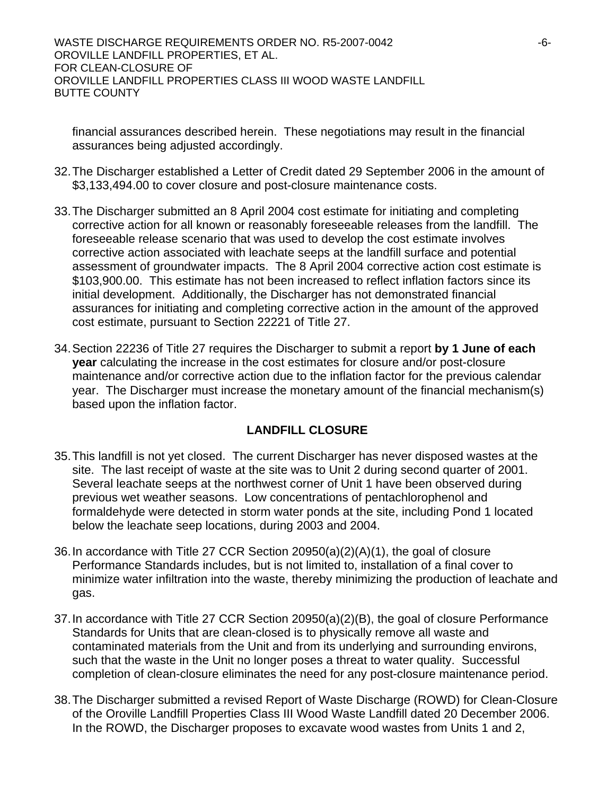WASTE DISCHARGE REQUIREMENTS ORDER NO. R5-2007-0042  $-6$ -OROVILLE LANDFILL PROPERTIES, ET AL. FOR CLEAN-CLOSURE OF OROVILLE LANDFILL PROPERTIES CLASS III WOOD WASTE LANDFILL BUTTE COUNTY

financial assurances described herein. These negotiations may result in the financial assurances being adjusted accordingly.

- 32. The Discharger established a Letter of Credit dated 29 September 2006 in the amount of \$3,133,494.00 to cover closure and post-closure maintenance costs.
- 33. The Discharger submitted an 8 April 2004 cost estimate for initiating and completing corrective action for all known or reasonably foreseeable releases from the landfill. The foreseeable release scenario that was used to develop the cost estimate involves corrective action associated with leachate seeps at the landfill surface and potential assessment of groundwater impacts. The 8 April 2004 corrective action cost estimate is \$103,900.00. This estimate has not been increased to reflect inflation factors since its initial development. Additionally, the Discharger has not demonstrated financial assurances for initiating and completing corrective action in the amount of the approved cost estimate, pursuant to Section 22221 of Title 27.
- 34. Section 22236 of Title 27 requires the Discharger to submit a report **by 1 June of each year** calculating the increase in the cost estimates for closure and/or post-closure maintenance and/or corrective action due to the inflation factor for the previous calendar year. The Discharger must increase the monetary amount of the financial mechanism(s) based upon the inflation factor.

## **LANDFILL CLOSURE**

- 35. This landfill is not yet closed. The current Discharger has never disposed wastes at the site. The last receipt of waste at the site was to Unit 2 during second quarter of 2001. Several leachate seeps at the northwest corner of Unit 1 have been observed during previous wet weather seasons. Low concentrations of pentachlorophenol and formaldehyde were detected in storm water ponds at the site, including Pond 1 located below the leachate seep locations, during 2003 and 2004.
- 36. In accordance with Title 27 CCR Section 20950(a)(2)(A)(1), the goal of closure Performance Standards includes, but is not limited to, installation of a final cover to minimize water infiltration into the waste, thereby minimizing the production of leachate and gas.
- 37. In accordance with Title 27 CCR Section 20950(a)(2)(B), the goal of closure Performance Standards for Units that are clean-closed is to physically remove all waste and contaminated materials from the Unit and from its underlying and surrounding environs, such that the waste in the Unit no longer poses a threat to water quality. Successful completion of clean-closure eliminates the need for any post-closure maintenance period.
- 38. The Discharger submitted a revised Report of Waste Discharge (ROWD) for Clean-Closure of the Oroville Landfill Properties Class III Wood Waste Landfill dated 20 December 2006. In the ROWD, the Discharger proposes to excavate wood wastes from Units 1 and 2,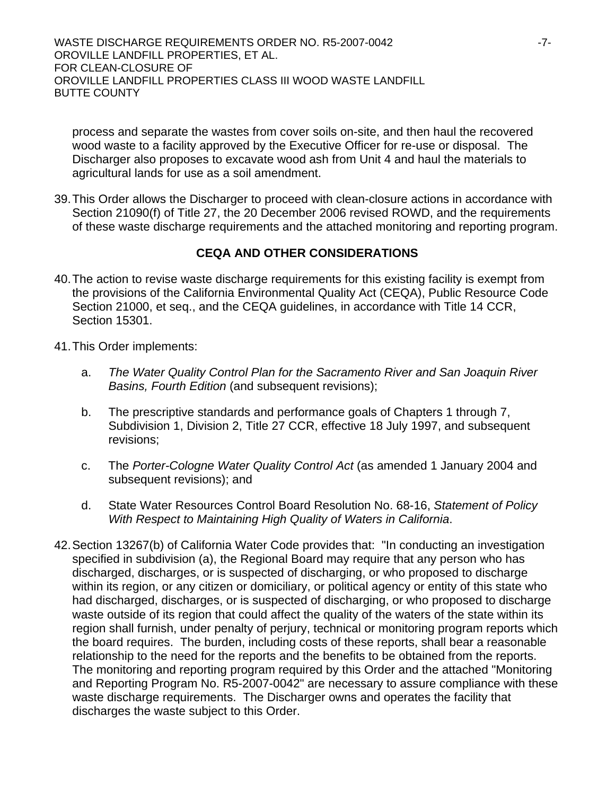WASTE DISCHARGE REQUIREMENTS ORDER NO. R5-2007-0042 ----------------------------OROVILLE LANDFILL PROPERTIES, ET AL. FOR CLEAN-CLOSURE OF OROVILLE LANDFILL PROPERTIES CLASS III WOOD WASTE LANDFILL BUTTE COUNTY

process and separate the wastes from cover soils on-site, and then haul the recovered wood waste to a facility approved by the Executive Officer for re-use or disposal. The Discharger also proposes to excavate wood ash from Unit 4 and haul the materials to agricultural lands for use as a soil amendment.

39. This Order allows the Discharger to proceed with clean-closure actions in accordance with Section 21090(f) of Title 27, the 20 December 2006 revised ROWD, and the requirements of these waste discharge requirements and the attached monitoring and reporting program.

## **CEQA AND OTHER CONSIDERATIONS**

- 40. The action to revise waste discharge requirements for this existing facility is exempt from the provisions of the California Environmental Quality Act (CEQA), Public Resource Code Section 21000, et seq., and the CEQA guidelines, in accordance with Title 14 CCR, Section 15301.
- 41. This Order implements:
	- a. *The Water Quality Control Plan for the Sacramento River and San Joaquin River Basins, Fourth Edition* (and subsequent revisions);
	- b. The prescriptive standards and performance goals of Chapters 1 through 7, Subdivision 1, Division 2, Title 27 CCR, effective 18 July 1997, and subsequent revisions;
	- c. The *Porter-Cologne Water Quality Control Act* (as amended 1 January 2004 and subsequent revisions); and
	- d. State Water Resources Control Board Resolution No. 68-16, *Statement of Policy With Respect to Maintaining High Quality of Waters in California*.
- 42. Section 13267(b) of California Water Code provides that: "In conducting an investigation specified in subdivision (a), the Regional Board may require that any person who has discharged, discharges, or is suspected of discharging, or who proposed to discharge within its region, or any citizen or domiciliary, or political agency or entity of this state who had discharged, discharges, or is suspected of discharging, or who proposed to discharge waste outside of its region that could affect the quality of the waters of the state within its region shall furnish, under penalty of perjury, technical or monitoring program reports which the board requires. The burden, including costs of these reports, shall bear a reasonable relationship to the need for the reports and the benefits to be obtained from the reports. The monitoring and reporting program required by this Order and the attached "Monitoring and Reporting Program No. R5-2007-0042" are necessary to assure compliance with these waste discharge requirements. The Discharger owns and operates the facility that discharges the waste subject to this Order.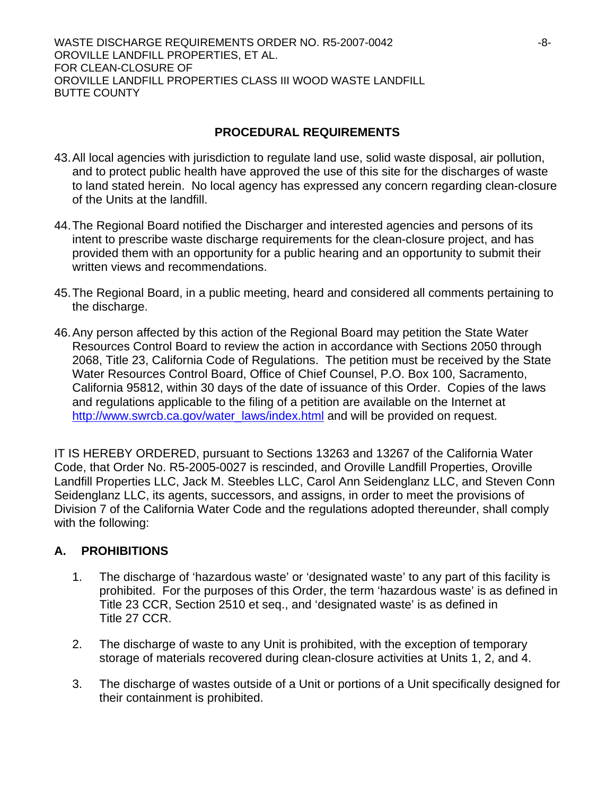WASTE DISCHARGE REQUIREMENTS ORDER NO. R5-2007-0042  $-8$ -OROVILLE LANDFILL PROPERTIES, ET AL. FOR CLEAN-CLOSURE OF OROVILLE LANDFILL PROPERTIES CLASS III WOOD WASTE LANDFILL BUTTE COUNTY

# **PROCEDURAL REQUIREMENTS**

- 43. All local agencies with jurisdiction to regulate land use, solid waste disposal, air pollution, and to protect public health have approved the use of this site for the discharges of waste to land stated herein. No local agency has expressed any concern regarding clean-closure of the Units at the landfill.
- 44. The Regional Board notified the Discharger and interested agencies and persons of its intent to prescribe waste discharge requirements for the clean-closure project, and has provided them with an opportunity for a public hearing and an opportunity to submit their written views and recommendations.
- 45. The Regional Board, in a public meeting, heard and considered all comments pertaining to the discharge.
- 46. Any person affected by this action of the Regional Board may petition the State Water Resources Control Board to review the action in accordance with Sections 2050 through 2068, Title 23, California Code of Regulations. The petition must be received by the State Water Resources Control Board, Office of Chief Counsel, P.O. Box 100, Sacramento, California 95812, within 30 days of the date of issuance of this Order. Copies of the laws and regulations applicable to the filing of a petition are available on the Internet at http://www.swrcb.ca.gov/water\_laws/index.html and will be provided on request.

IT IS HEREBY ORDERED, pursuant to Sections 13263 and 13267 of the California Water Code, that Order No. R5-2005-0027 is rescinded, and Oroville Landfill Properties, Oroville Landfill Properties LLC, Jack M. Steebles LLC, Carol Ann Seidenglanz LLC, and Steven Conn Seidenglanz LLC, its agents, successors, and assigns, in order to meet the provisions of Division 7 of the California Water Code and the regulations adopted thereunder, shall comply with the following:

# **A. PROHIBITIONS**

- 1. The discharge of 'hazardous waste' or 'designated waste' to any part of this facility is prohibited. For the purposes of this Order, the term 'hazardous waste' is as defined in Title 23 CCR, Section 2510 et seq., and 'designated waste' is as defined in Title 27 CCR.
- 2. The discharge of waste to any Unit is prohibited, with the exception of temporary storage of materials recovered during clean-closure activities at Units 1, 2, and 4.
- 3. The discharge of wastes outside of a Unit or portions of a Unit specifically designed for their containment is prohibited.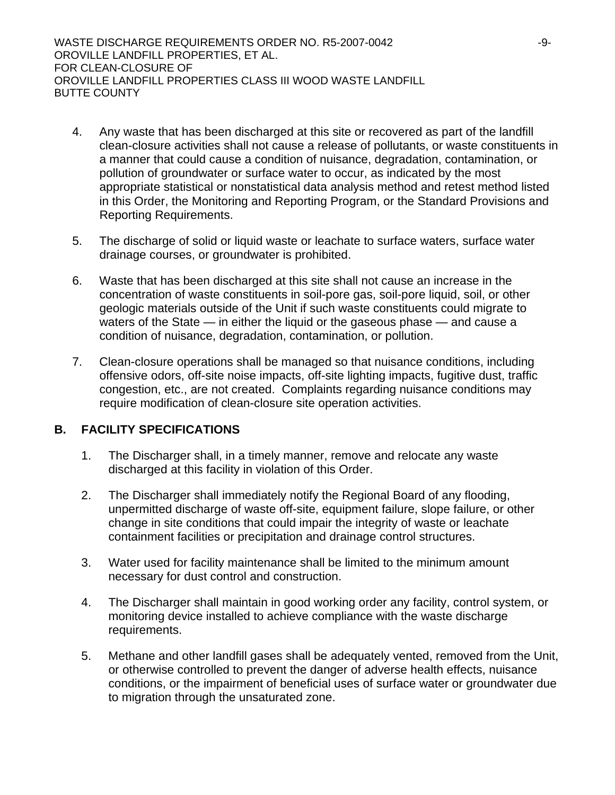WASTE DISCHARGE REQUIREMENTS ORDER NO. R5-2007-0042  $-9$ -9-OROVILLE LANDFILL PROPERTIES, ET AL. FOR CLEAN-CLOSURE OF OROVILLE LANDFILL PROPERTIES CLASS III WOOD WASTE LANDFILL BUTTE COUNTY

- 4. Any waste that has been discharged at this site or recovered as part of the landfill clean-closure activities shall not cause a release of pollutants, or waste constituents in a manner that could cause a condition of nuisance, degradation, contamination, or pollution of groundwater or surface water to occur, as indicated by the most appropriate statistical or nonstatistical data analysis method and retest method listed in this Order, the Monitoring and Reporting Program, or the Standard Provisions and Reporting Requirements.
- 5. The discharge of solid or liquid waste or leachate to surface waters, surface water drainage courses, or groundwater is prohibited.
- 6. Waste that has been discharged at this site shall not cause an increase in the concentration of waste constituents in soil-pore gas, soil-pore liquid, soil, or other geologic materials outside of the Unit if such waste constituents could migrate to waters of the State — in either the liquid or the gaseous phase — and cause a condition of nuisance, degradation, contamination, or pollution.
- 7. Clean-closure operations shall be managed so that nuisance conditions, including offensive odors, off-site noise impacts, off-site lighting impacts, fugitive dust, traffic congestion, etc., are not created. Complaints regarding nuisance conditions may require modification of clean-closure site operation activities.

## **B. FACILITY SPECIFICATIONS**

- 1. The Discharger shall, in a timely manner, remove and relocate any waste discharged at this facility in violation of this Order.
- 2. The Discharger shall immediately notify the Regional Board of any flooding, unpermitted discharge of waste off-site, equipment failure, slope failure, or other change in site conditions that could impair the integrity of waste or leachate containment facilities or precipitation and drainage control structures.
- 3. Water used for facility maintenance shall be limited to the minimum amount necessary for dust control and construction.
- 4. The Discharger shall maintain in good working order any facility, control system, or monitoring device installed to achieve compliance with the waste discharge requirements.
- 5. Methane and other landfill gases shall be adequately vented, removed from the Unit, or otherwise controlled to prevent the danger of adverse health effects, nuisance conditions, or the impairment of beneficial uses of surface water or groundwater due to migration through the unsaturated zone.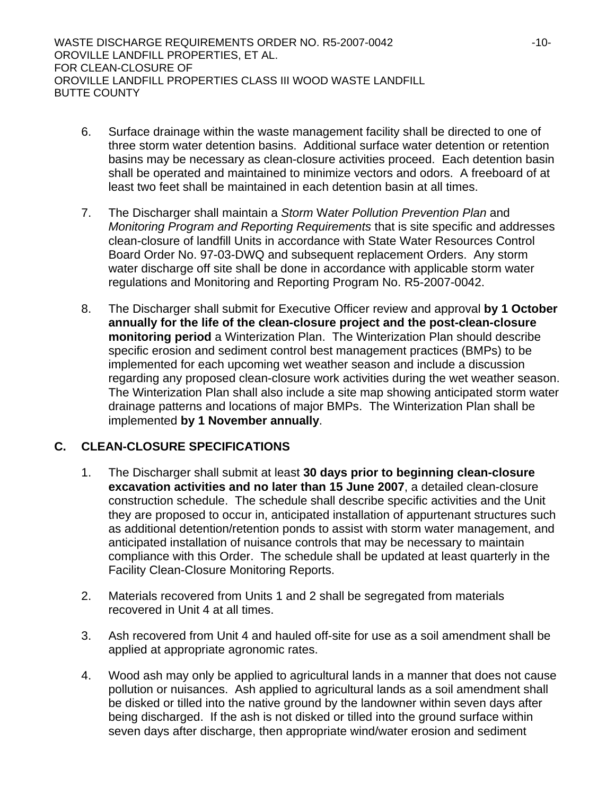WASTE DISCHARGE REQUIREMENTS ORDER NO. R5-2007-0042  $-10$ -10-OROVILLE LANDFILL PROPERTIES, ET AL. FOR CLEAN-CLOSURE OF OROVILLE LANDFILL PROPERTIES CLASS III WOOD WASTE LANDFILL BUTTE COUNTY

- 6. Surface drainage within the waste management facility shall be directed to one of three storm water detention basins. Additional surface water detention or retention basins may be necessary as clean-closure activities proceed. Each detention basin shall be operated and maintained to minimize vectors and odors. A freeboard of at least two feet shall be maintained in each detention basin at all times.
- 7. The Discharger shall maintain a *Storm* W*ater Pollution Prevention Plan* and *Monitoring Program and Reporting Requirements* that is site specific and addresses clean-closure of landfill Units in accordance with State Water Resources Control Board Order No. 97-03-DWQ and subsequent replacement Orders. Any storm water discharge off site shall be done in accordance with applicable storm water regulations and Monitoring and Reporting Program No. R5-2007-0042.
- 8. The Discharger shall submit for Executive Officer review and approval **by 1 October annually for the life of the clean-closure project and the post-clean-closure monitoring period** a Winterization Plan. The Winterization Plan should describe specific erosion and sediment control best management practices (BMPs) to be implemented for each upcoming wet weather season and include a discussion regarding any proposed clean-closure work activities during the wet weather season. The Winterization Plan shall also include a site map showing anticipated storm water drainage patterns and locations of major BMPs. The Winterization Plan shall be implemented **by 1 November annually**.

# **C. CLEAN-CLOSURE SPECIFICATIONS**

- 1. The Discharger shall submit at least **30 days prior to beginning clean-closure excavation activities and no later than 15 June 2007**, a detailed clean-closure construction schedule. The schedule shall describe specific activities and the Unit they are proposed to occur in, anticipated installation of appurtenant structures such as additional detention/retention ponds to assist with storm water management, and anticipated installation of nuisance controls that may be necessary to maintain compliance with this Order. The schedule shall be updated at least quarterly in the Facility Clean-Closure Monitoring Reports.
- 2. Materials recovered from Units 1 and 2 shall be segregated from materials recovered in Unit 4 at all times.
- 3. Ash recovered from Unit 4 and hauled off-site for use as a soil amendment shall be applied at appropriate agronomic rates.
- 4. Wood ash may only be applied to agricultural lands in a manner that does not cause pollution or nuisances. Ash applied to agricultural lands as a soil amendment shall be disked or tilled into the native ground by the landowner within seven days after being discharged. If the ash is not disked or tilled into the ground surface within seven days after discharge, then appropriate wind/water erosion and sediment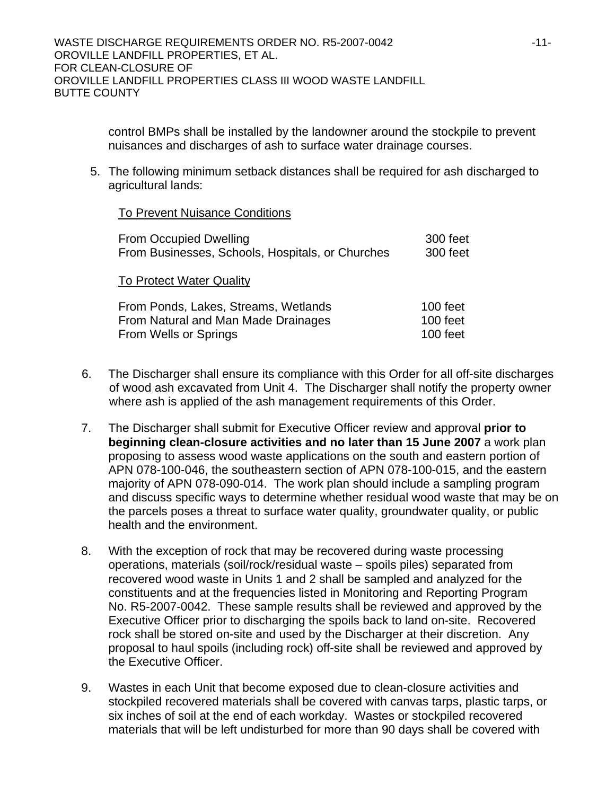control BMPs shall be installed by the landowner around the stockpile to prevent nuisances and discharges of ash to surface water drainage courses.

5. The following minimum setback distances shall be required for ash discharged to agricultural lands:

### To Prevent Nuisance Conditions

| <b>From Occupied Dwelling</b>                    | 300 feet |
|--------------------------------------------------|----------|
| From Businesses, Schools, Hospitals, or Churches | 300 feet |
| <b>To Protect Water Quality</b>                  |          |
| From Ponds, Lakes, Streams, Wetlands             | 100 feet |
| From Natural and Man Made Drainages              | 100 feet |
| From Wells or Springs                            | 100 feet |

- 6. The Discharger shall ensure its compliance with this Order for all off-site discharges of wood ash excavated from Unit 4. The Discharger shall notify the property owner where ash is applied of the ash management requirements of this Order.
- 7. The Discharger shall submit for Executive Officer review and approval **prior to beginning clean-closure activities and no later than 15 June 2007** a work plan proposing to assess wood waste applications on the south and eastern portion of APN 078-100-046, the southeastern section of APN 078-100-015, and the eastern majority of APN 078-090-014. The work plan should include a sampling program and discuss specific ways to determine whether residual wood waste that may be on the parcels poses a threat to surface water quality, groundwater quality, or public health and the environment.
- 8. With the exception of rock that may be recovered during waste processing operations, materials (soil/rock/residual waste – spoils piles) separated from recovered wood waste in Units 1 and 2 shall be sampled and analyzed for the constituents and at the frequencies listed in Monitoring and Reporting Program No. R5-2007-0042. These sample results shall be reviewed and approved by the Executive Officer prior to discharging the spoils back to land on-site. Recovered rock shall be stored on-site and used by the Discharger at their discretion. Any proposal to haul spoils (including rock) off-site shall be reviewed and approved by the Executive Officer.
- 9. Wastes in each Unit that become exposed due to clean-closure activities and stockpiled recovered materials shall be covered with canvas tarps, plastic tarps, or six inches of soil at the end of each workday. Wastes or stockpiled recovered materials that will be left undisturbed for more than 90 days shall be covered with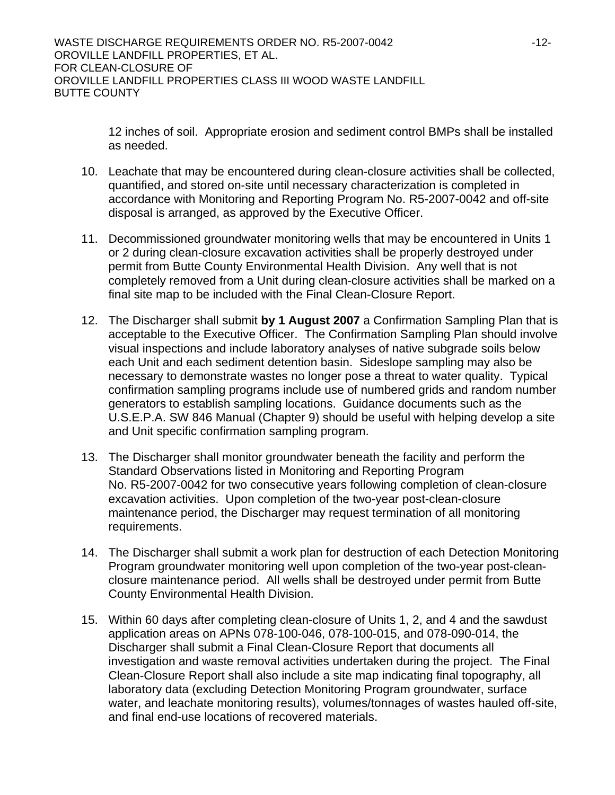12 inches of soil. Appropriate erosion and sediment control BMPs shall be installed as needed.

- 10. Leachate that may be encountered during clean-closure activities shall be collected, quantified, and stored on-site until necessary characterization is completed in accordance with Monitoring and Reporting Program No. R5-2007-0042 and off-site disposal is arranged, as approved by the Executive Officer.
- 11. Decommissioned groundwater monitoring wells that may be encountered in Units 1 or 2 during clean-closure excavation activities shall be properly destroyed under permit from Butte County Environmental Health Division. Any well that is not completely removed from a Unit during clean-closure activities shall be marked on a final site map to be included with the Final Clean-Closure Report.
- 12. The Discharger shall submit **by 1 August 2007** a Confirmation Sampling Plan that is acceptable to the Executive Officer. The Confirmation Sampling Plan should involve visual inspections and include laboratory analyses of native subgrade soils below each Unit and each sediment detention basin. Sideslope sampling may also be necessary to demonstrate wastes no longer pose a threat to water quality. Typical confirmation sampling programs include use of numbered grids and random number generators to establish sampling locations. Guidance documents such as the U.S.E.P.A. SW 846 Manual (Chapter 9) should be useful with helping develop a site and Unit specific confirmation sampling program.
- 13. The Discharger shall monitor groundwater beneath the facility and perform the Standard Observations listed in Monitoring and Reporting Program No. R5-2007-0042 for two consecutive years following completion of clean-closure excavation activities. Upon completion of the two-year post-clean-closure maintenance period, the Discharger may request termination of all monitoring requirements.
- 14. The Discharger shall submit a work plan for destruction of each Detection Monitoring Program groundwater monitoring well upon completion of the two-year post-cleanclosure maintenance period. All wells shall be destroyed under permit from Butte County Environmental Health Division.
- 15. Within 60 days after completing clean-closure of Units 1, 2, and 4 and the sawdust application areas on APNs 078-100-046, 078-100-015, and 078-090-014, the Discharger shall submit a Final Clean-Closure Report that documents all investigation and waste removal activities undertaken during the project. The Final Clean-Closure Report shall also include a site map indicating final topography, all laboratory data (excluding Detection Monitoring Program groundwater, surface water, and leachate monitoring results), volumes/tonnages of wastes hauled off-site, and final end-use locations of recovered materials.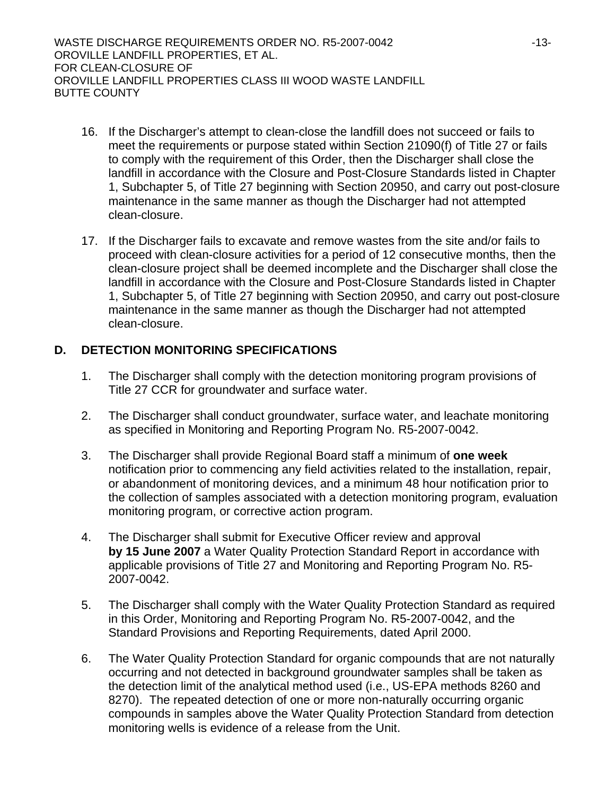WASTE DISCHARGE REQUIREMENTS ORDER NO. R5-2007-0042 -13- OROVILLE LANDFILL PROPERTIES, ET AL. FOR CLEAN-CLOSURE OF OROVILLE LANDFILL PROPERTIES CLASS III WOOD WASTE LANDFILL BUTTE COUNTY

- 16. If the Discharger's attempt to clean-close the landfill does not succeed or fails to meet the requirements or purpose stated within Section 21090(f) of Title 27 or fails to comply with the requirement of this Order, then the Discharger shall close the landfill in accordance with the Closure and Post-Closure Standards listed in Chapter 1, Subchapter 5, of Title 27 beginning with Section 20950, and carry out post-closure maintenance in the same manner as though the Discharger had not attempted clean-closure.
- 17. If the Discharger fails to excavate and remove wastes from the site and/or fails to proceed with clean-closure activities for a period of 12 consecutive months, then the clean-closure project shall be deemed incomplete and the Discharger shall close the landfill in accordance with the Closure and Post-Closure Standards listed in Chapter 1, Subchapter 5, of Title 27 beginning with Section 20950, and carry out post-closure maintenance in the same manner as though the Discharger had not attempted clean-closure.

# **D. DETECTION MONITORING SPECIFICATIONS**

- 1. The Discharger shall comply with the detection monitoring program provisions of Title 27 CCR for groundwater and surface water.
- 2. The Discharger shall conduct groundwater, surface water, and leachate monitoring as specified in Monitoring and Reporting Program No. R5-2007-0042.
- 3. The Discharger shall provide Regional Board staff a minimum of **one week** notification prior to commencing any field activities related to the installation, repair, or abandonment of monitoring devices, and a minimum 48 hour notification prior to the collection of samples associated with a detection monitoring program, evaluation monitoring program, or corrective action program.
- 4. The Discharger shall submit for Executive Officer review and approval **by 15 June 2007** a Water Quality Protection Standard Report in accordance with applicable provisions of Title 27 and Monitoring and Reporting Program No. R5- 2007-0042.
- 5. The Discharger shall comply with the Water Quality Protection Standard as required in this Order, Monitoring and Reporting Program No. R5-2007-0042, and the Standard Provisions and Reporting Requirements, dated April 2000.
- 6. The Water Quality Protection Standard for organic compounds that are not naturally occurring and not detected in background groundwater samples shall be taken as the detection limit of the analytical method used (i.e., US-EPA methods 8260 and 8270). The repeated detection of one or more non-naturally occurring organic compounds in samples above the Water Quality Protection Standard from detection monitoring wells is evidence of a release from the Unit.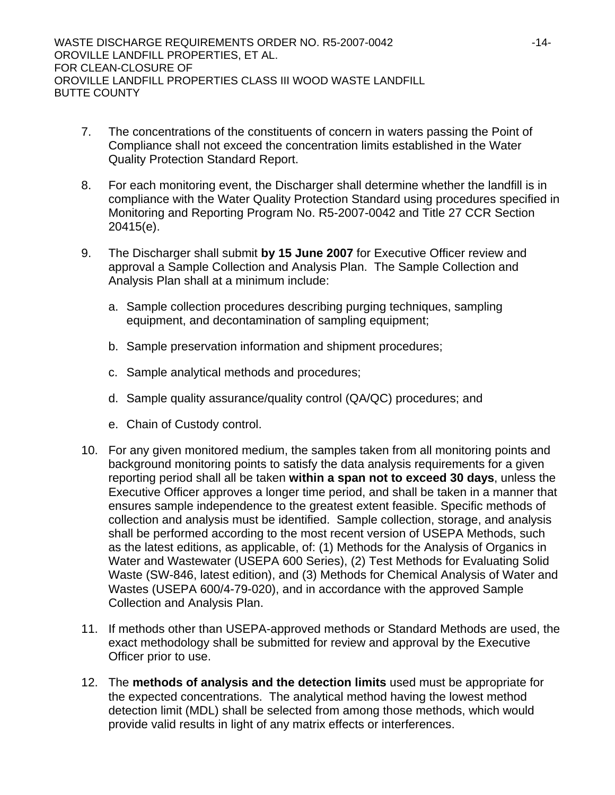- 7. The concentrations of the constituents of concern in waters passing the Point of Compliance shall not exceed the concentration limits established in the Water Quality Protection Standard Report.
- 8. For each monitoring event, the Discharger shall determine whether the landfill is in compliance with the Water Quality Protection Standard using procedures specified in Monitoring and Reporting Program No. R5-2007-0042 and Title 27 CCR Section 20415(e).
- 9. The Discharger shall submit **by 15 June 2007** for Executive Officer review and approval a Sample Collection and Analysis Plan. The Sample Collection and Analysis Plan shall at a minimum include:
	- a. Sample collection procedures describing purging techniques, sampling equipment, and decontamination of sampling equipment;
	- b. Sample preservation information and shipment procedures;
	- c. Sample analytical methods and procedures;
	- d. Sample quality assurance/quality control (QA/QC) procedures; and
	- e. Chain of Custody control.
- 10. For any given monitored medium, the samples taken from all monitoring points and background monitoring points to satisfy the data analysis requirements for a given reporting period shall all be taken **within a span not to exceed 30 days**, unless the Executive Officer approves a longer time period, and shall be taken in a manner that ensures sample independence to the greatest extent feasible. Specific methods of collection and analysis must be identified. Sample collection, storage, and analysis shall be performed according to the most recent version of USEPA Methods, such as the latest editions, as applicable, of: (1) Methods for the Analysis of Organics in Water and Wastewater (USEPA 600 Series), (2) Test Methods for Evaluating Solid Waste (SW-846, latest edition), and (3) Methods for Chemical Analysis of Water and Wastes (USEPA 600/4-79-020), and in accordance with the approved Sample Collection and Analysis Plan.
- 11. If methods other than USEPA-approved methods or Standard Methods are used, the exact methodology shall be submitted for review and approval by the Executive Officer prior to use.
- 12. The **methods of analysis and the detection limits** used must be appropriate for the expected concentrations. The analytical method having the lowest method detection limit (MDL) shall be selected from among those methods, which would provide valid results in light of any matrix effects or interferences.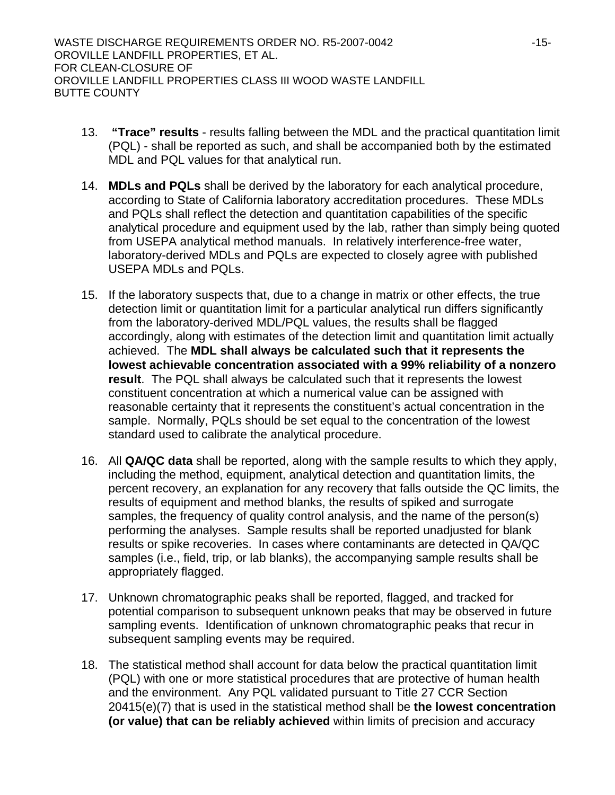WASTE DISCHARGE REQUIREMENTS ORDER NO. R5-2007-0042 -15- OROVILLE LANDFILL PROPERTIES, ET AL. FOR CLEAN-CLOSURE OF OROVILLE LANDFILL PROPERTIES CLASS III WOOD WASTE LANDFILL BUTTE COUNTY

- 13. **"Trace" results** results falling between the MDL and the practical quantitation limit (PQL) - shall be reported as such, and shall be accompanied both by the estimated MDL and PQL values for that analytical run.
- 14. **MDLs and PQLs** shall be derived by the laboratory for each analytical procedure, according to State of California laboratory accreditation procedures. These MDLs and PQLs shall reflect the detection and quantitation capabilities of the specific analytical procedure and equipment used by the lab, rather than simply being quoted from USEPA analytical method manuals. In relatively interference-free water, laboratory-derived MDLs and PQLs are expected to closely agree with published USEPA MDLs and PQLs.
- 15. If the laboratory suspects that, due to a change in matrix or other effects, the true detection limit or quantitation limit for a particular analytical run differs significantly from the laboratory-derived MDL/PQL values, the results shall be flagged accordingly, along with estimates of the detection limit and quantitation limit actually achieved. The **MDL shall always be calculated such that it represents the lowest achievable concentration associated with a 99% reliability of a nonzero result**. The PQL shall always be calculated such that it represents the lowest constituent concentration at which a numerical value can be assigned with reasonable certainty that it represents the constituent's actual concentration in the sample. Normally, PQLs should be set equal to the concentration of the lowest standard used to calibrate the analytical procedure.
- 16. All **QA/QC data** shall be reported, along with the sample results to which they apply, including the method, equipment, analytical detection and quantitation limits, the percent recovery, an explanation for any recovery that falls outside the QC limits, the results of equipment and method blanks, the results of spiked and surrogate samples, the frequency of quality control analysis, and the name of the person(s) performing the analyses. Sample results shall be reported unadjusted for blank results or spike recoveries. In cases where contaminants are detected in QA/QC samples (i.e., field, trip, or lab blanks), the accompanying sample results shall be appropriately flagged.
- 17. Unknown chromatographic peaks shall be reported, flagged, and tracked for potential comparison to subsequent unknown peaks that may be observed in future sampling events. Identification of unknown chromatographic peaks that recur in subsequent sampling events may be required.
- 18. The statistical method shall account for data below the practical quantitation limit (PQL) with one or more statistical procedures that are protective of human health and the environment. Any PQL validated pursuant to Title 27 CCR Section 20415(e)(7) that is used in the statistical method shall be **the lowest concentration (or value) that can be reliably achieved** within limits of precision and accuracy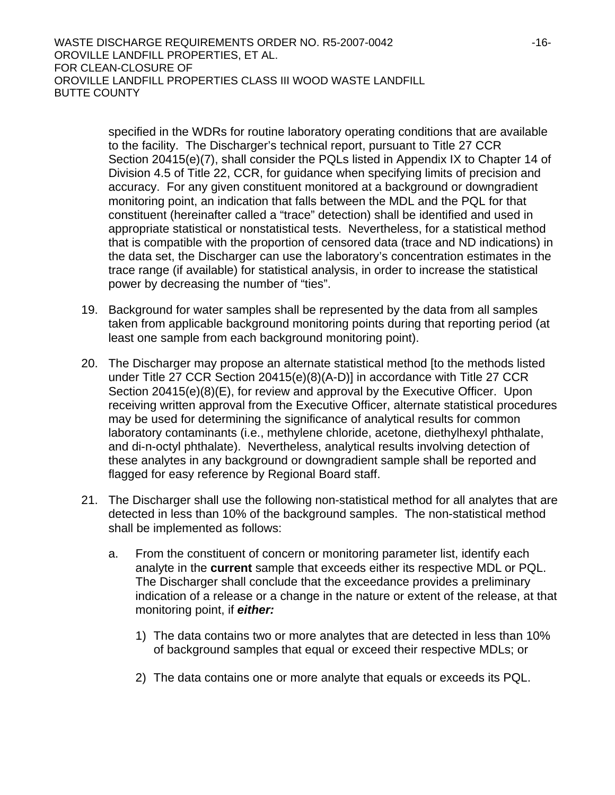WASTE DISCHARGE REQUIREMENTS ORDER NO. R5-2007-0042  $-16$ -OROVILLE LANDFILL PROPERTIES, ET AL. FOR CLEAN-CLOSURE OF OROVILLE LANDFILL PROPERTIES CLASS III WOOD WASTE LANDFILL BUTTE COUNTY

> specified in the WDRs for routine laboratory operating conditions that are available to the facility. The Discharger's technical report, pursuant to Title 27 CCR Section 20415(e)(7), shall consider the PQLs listed in Appendix IX to Chapter 14 of Division 4.5 of Title 22, CCR, for guidance when specifying limits of precision and accuracy. For any given constituent monitored at a background or downgradient monitoring point, an indication that falls between the MDL and the PQL for that constituent (hereinafter called a "trace" detection) shall be identified and used in appropriate statistical or nonstatistical tests. Nevertheless, for a statistical method that is compatible with the proportion of censored data (trace and ND indications) in the data set, the Discharger can use the laboratory's concentration estimates in the trace range (if available) for statistical analysis, in order to increase the statistical power by decreasing the number of "ties".

- 19. Background for water samples shall be represented by the data from all samples taken from applicable background monitoring points during that reporting period (at least one sample from each background monitoring point).
- 20. The Discharger may propose an alternate statistical method [to the methods listed under Title 27 CCR Section 20415(e)(8)(A-D)] in accordance with Title 27 CCR Section 20415(e)(8)(E), for review and approval by the Executive Officer. Upon receiving written approval from the Executive Officer, alternate statistical procedures may be used for determining the significance of analytical results for common laboratory contaminants (i.e., methylene chloride, acetone, diethylhexyl phthalate, and di-n-octyl phthalate). Nevertheless, analytical results involving detection of these analytes in any background or downgradient sample shall be reported and flagged for easy reference by Regional Board staff.
- 21. The Discharger shall use the following non-statistical method for all analytes that are detected in less than 10% of the background samples. The non-statistical method shall be implemented as follows:
	- a. From the constituent of concern or monitoring parameter list, identify each analyte in the **current** sample that exceeds either its respective MDL or PQL. The Discharger shall conclude that the exceedance provides a preliminary indication of a release or a change in the nature or extent of the release, at that monitoring point, if *either:* 
		- 1) The data contains two or more analytes that are detected in less than 10% of background samples that equal or exceed their respective MDLs; or
		- 2) The data contains one or more analyte that equals or exceeds its PQL.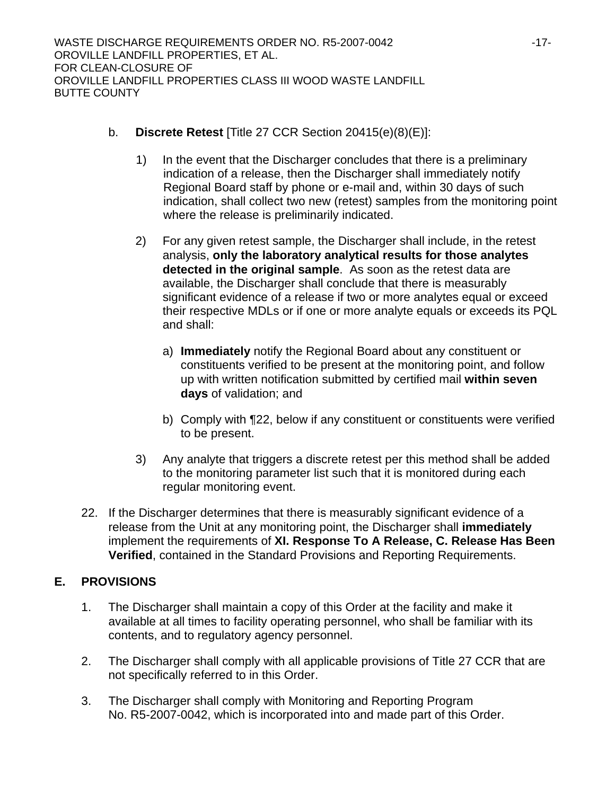- b. **Discrete Retest** [Title 27 CCR Section 20415(e)(8)(E)]:
	- 1) In the event that the Discharger concludes that there is a preliminary indication of a release, then the Discharger shall immediately notify Regional Board staff by phone or e-mail and, within 30 days of such indication, shall collect two new (retest) samples from the monitoring point where the release is preliminarily indicated.
	- 2) For any given retest sample, the Discharger shall include, in the retest analysis, **only the laboratory analytical results for those analytes detected in the original sample**. As soon as the retest data are available, the Discharger shall conclude that there is measurably significant evidence of a release if two or more analytes equal or exceed their respective MDLs or if one or more analyte equals or exceeds its PQL and shall:
		- a) **Immediately** notify the Regional Board about any constituent or constituents verified to be present at the monitoring point, and follow up with written notification submitted by certified mail **within seven days** of validation; and
		- b) Comply with ¶22, below if any constituent or constituents were verified to be present.
	- 3) Any analyte that triggers a discrete retest per this method shall be added to the monitoring parameter list such that it is monitored during each regular monitoring event.
- 22. If the Discharger determines that there is measurably significant evidence of a release from the Unit at any monitoring point, the Discharger shall **immediately** implement the requirements of **XI. Response To A Release, C. Release Has Been Verified**, contained in the Standard Provisions and Reporting Requirements.

# **E. PROVISIONS**

- 1. The Discharger shall maintain a copy of this Order at the facility and make it available at all times to facility operating personnel, who shall be familiar with its contents, and to regulatory agency personnel.
- 2. The Discharger shall comply with all applicable provisions of Title 27 CCR that are not specifically referred to in this Order.
- 3. The Discharger shall comply with Monitoring and Reporting Program No. R5-2007-0042, which is incorporated into and made part of this Order.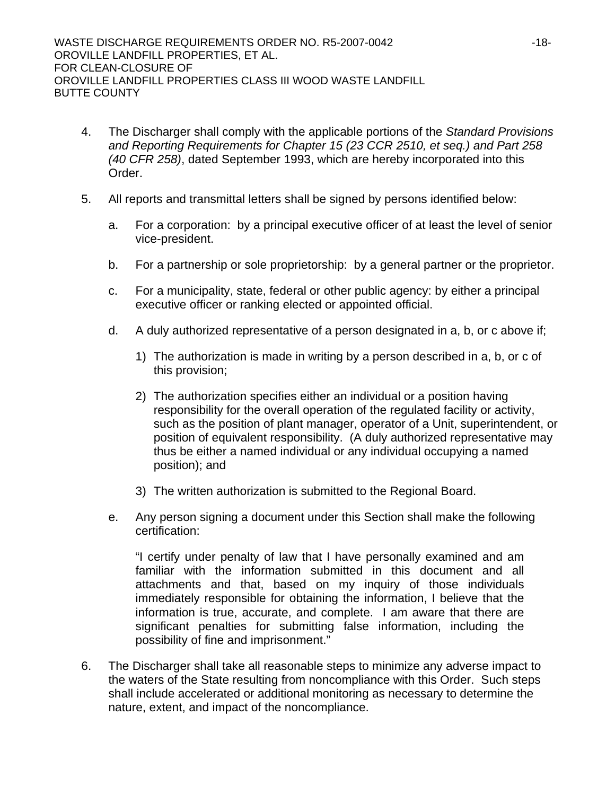- 4. The Discharger shall comply with the applicable portions of the *Standard Provisions and Reporting Requirements for Chapter 15 (23 CCR 2510, et seq.) and Part 258 (40 CFR 258)*, dated September 1993, which are hereby incorporated into this Order.
- 5. All reports and transmittal letters shall be signed by persons identified below:
	- a. For a corporation: by a principal executive officer of at least the level of senior vice-president.
	- b. For a partnership or sole proprietorship: by a general partner or the proprietor.
	- c. For a municipality, state, federal or other public agency: by either a principal executive officer or ranking elected or appointed official.
	- d. A duly authorized representative of a person designated in a, b, or c above if;
		- 1) The authorization is made in writing by a person described in a, b, or c of this provision;
		- 2) The authorization specifies either an individual or a position having responsibility for the overall operation of the regulated facility or activity, such as the position of plant manager, operator of a Unit, superintendent, or position of equivalent responsibility. (A duly authorized representative may thus be either a named individual or any individual occupying a named position); and
		- 3) The written authorization is submitted to the Regional Board.
	- e. Any person signing a document under this Section shall make the following certification:

"I certify under penalty of law that I have personally examined and am familiar with the information submitted in this document and all attachments and that, based on my inquiry of those individuals immediately responsible for obtaining the information, I believe that the information is true, accurate, and complete. I am aware that there are significant penalties for submitting false information, including the possibility of fine and imprisonment."

6. The Discharger shall take all reasonable steps to minimize any adverse impact to the waters of the State resulting from noncompliance with this Order. Such steps shall include accelerated or additional monitoring as necessary to determine the nature, extent, and impact of the noncompliance.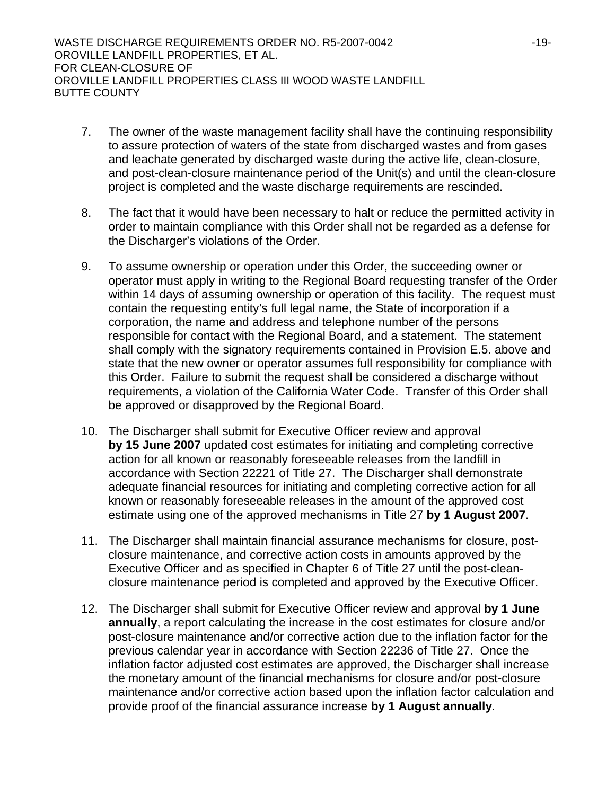WASTE DISCHARGE REQUIREMENTS ORDER NO. R5-2007-0042 -19- OROVILLE LANDFILL PROPERTIES, ET AL. FOR CLEAN-CLOSURE OF OROVILLE LANDFILL PROPERTIES CLASS III WOOD WASTE LANDFILL BUTTE COUNTY

- 7. The owner of the waste management facility shall have the continuing responsibility to assure protection of waters of the state from discharged wastes and from gases and leachate generated by discharged waste during the active life, clean-closure, and post-clean-closure maintenance period of the Unit(s) and until the clean-closure project is completed and the waste discharge requirements are rescinded.
- 8. The fact that it would have been necessary to halt or reduce the permitted activity in order to maintain compliance with this Order shall not be regarded as a defense for the Discharger's violations of the Order.
- 9. To assume ownership or operation under this Order, the succeeding owner or operator must apply in writing to the Regional Board requesting transfer of the Order within 14 days of assuming ownership or operation of this facility. The request must contain the requesting entity's full legal name, the State of incorporation if a corporation, the name and address and telephone number of the persons responsible for contact with the Regional Board, and a statement. The statement shall comply with the signatory requirements contained in Provision E.5. above and state that the new owner or operator assumes full responsibility for compliance with this Order. Failure to submit the request shall be considered a discharge without requirements, a violation of the California Water Code. Transfer of this Order shall be approved or disapproved by the Regional Board.
- 10. The Discharger shall submit for Executive Officer review and approval **by 15 June 2007** updated cost estimates for initiating and completing corrective action for all known or reasonably foreseeable releases from the landfill in accordance with Section 22221 of Title 27. The Discharger shall demonstrate adequate financial resources for initiating and completing corrective action for all known or reasonably foreseeable releases in the amount of the approved cost estimate using one of the approved mechanisms in Title 27 **by 1 August 2007**.
- 11. The Discharger shall maintain financial assurance mechanisms for closure, postclosure maintenance, and corrective action costs in amounts approved by the Executive Officer and as specified in Chapter 6 of Title 27 until the post-cleanclosure maintenance period is completed and approved by the Executive Officer.
- 12. The Discharger shall submit for Executive Officer review and approval **by 1 June annually**, a report calculating the increase in the cost estimates for closure and/or post-closure maintenance and/or corrective action due to the inflation factor for the previous calendar year in accordance with Section 22236 of Title 27. Once the inflation factor adjusted cost estimates are approved, the Discharger shall increase the monetary amount of the financial mechanisms for closure and/or post-closure maintenance and/or corrective action based upon the inflation factor calculation and provide proof of the financial assurance increase **by 1 August annually**.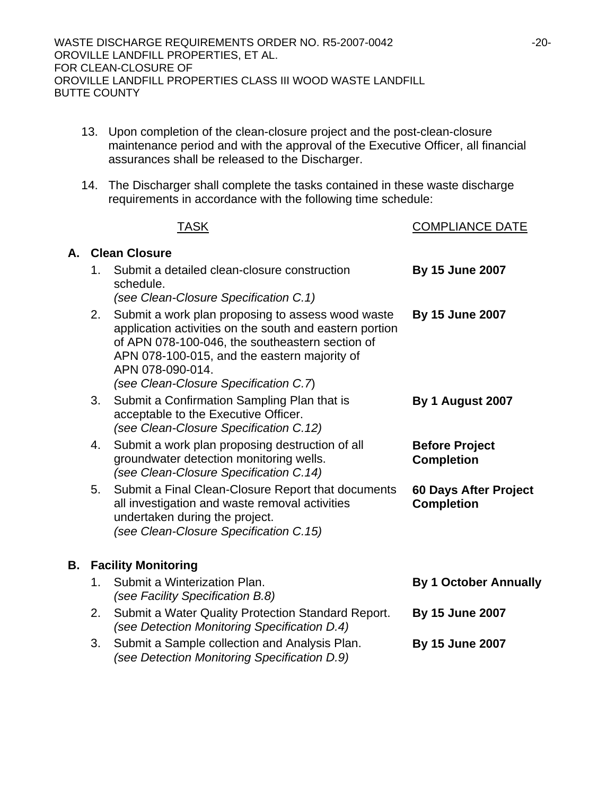- 13. Upon completion of the clean-closure project and the post-clean-closure maintenance period and with the approval of the Executive Officer, all financial assurances shall be released to the Discharger.
- 14. The Discharger shall complete the tasks contained in these waste discharge requirements in accordance with the following time schedule:

|    |                      | <b>TASK</b>                                                                                                                                                                                                                                                                  | <b>COMPLIANCE DATE</b>                     |
|----|----------------------|------------------------------------------------------------------------------------------------------------------------------------------------------------------------------------------------------------------------------------------------------------------------------|--------------------------------------------|
| А. | <b>Clean Closure</b> |                                                                                                                                                                                                                                                                              |                                            |
|    | 1.                   | Submit a detailed clean-closure construction<br>schedule.<br>(see Clean-Closure Specification C.1)                                                                                                                                                                           | <b>By 15 June 2007</b>                     |
|    | 2.                   | Submit a work plan proposing to assess wood waste<br>application activities on the south and eastern portion<br>of APN 078-100-046, the southeastern section of<br>APN 078-100-015, and the eastern majority of<br>APN 078-090-014.<br>(see Clean-Closure Specification C.7) | <b>By 15 June 2007</b>                     |
|    | 3.                   | Submit a Confirmation Sampling Plan that is<br>acceptable to the Executive Officer.<br>(see Clean-Closure Specification C.12)                                                                                                                                                | By 1 August 2007                           |
|    | 4.                   | Submit a work plan proposing destruction of all<br>groundwater detection monitoring wells.<br>(see Clean-Closure Specification C.14)                                                                                                                                         | <b>Before Project</b><br><b>Completion</b> |
|    | 5.                   | Submit a Final Clean-Closure Report that documents<br>all investigation and waste removal activities<br>undertaken during the project.<br>(see Clean-Closure Specification C.15)                                                                                             | 60 Days After Project<br><b>Completion</b> |
| В. |                      | <b>Facility Monitoring</b>                                                                                                                                                                                                                                                   |                                            |
|    | 1.                   | Submit a Winterization Plan.<br>(see Facility Specification B.8)                                                                                                                                                                                                             | <b>By 1 October Annually</b>               |
|    | 2.                   | Submit a Water Quality Protection Standard Report.<br>(see Detection Monitoring Specification D.4)                                                                                                                                                                           | <b>By 15 June 2007</b>                     |
|    | 3.                   | Submit a Sample collection and Analysis Plan.<br>(see Detection Monitoring Specification D.9)                                                                                                                                                                                | By 15 June 2007                            |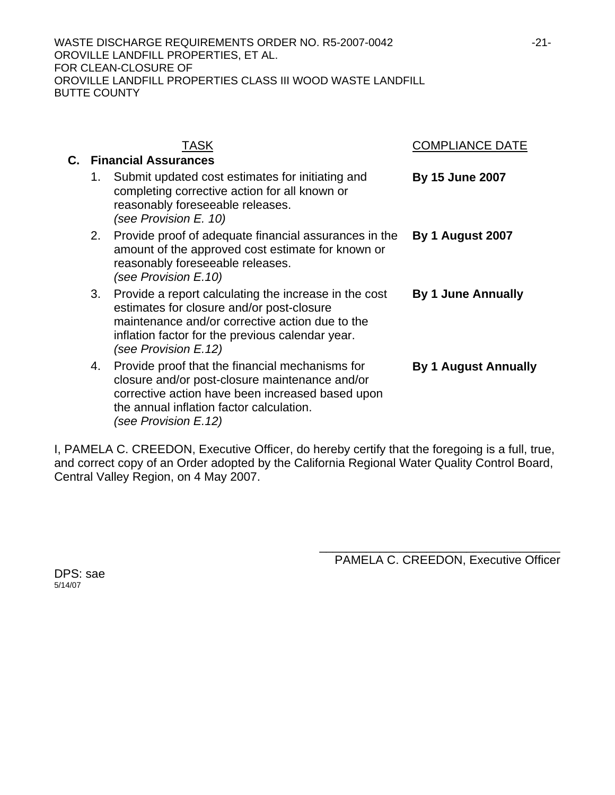|    | TASK                                                                                                                                                                                                                              | COMPLIANCE DATE             |
|----|-----------------------------------------------------------------------------------------------------------------------------------------------------------------------------------------------------------------------------------|-----------------------------|
|    | <b>Financial Assurances</b>                                                                                                                                                                                                       |                             |
| 1. | Submit updated cost estimates for initiating and<br>completing corrective action for all known or<br>reasonably foreseeable releases.<br>(see Provision E. 10)                                                                    | <b>By 15 June 2007</b>      |
| 2. | Provide proof of adequate financial assurances in the<br>amount of the approved cost estimate for known or<br>reasonably foreseeable releases.<br>(see Provision E.10)                                                            | <b>By 1 August 2007</b>     |
| 3. | Provide a report calculating the increase in the cost<br>estimates for closure and/or post-closure<br>maintenance and/or corrective action due to the<br>inflation factor for the previous calendar year.<br>(see Provision E.12) | <b>By 1 June Annually</b>   |
| 4. | Provide proof that the financial mechanisms for<br>closure and/or post-closure maintenance and/or<br>corrective action have been increased based upon<br>the annual inflation factor calculation.<br>(see Provision E.12)         | <b>By 1 August Annually</b> |

I, PAMELA C. CREEDON, Executive Officer, do hereby certify that the foregoing is a full, true, and correct copy of an Order adopted by the California Regional Water Quality Control Board, Central Valley Region, on 4 May 2007.

> \_\_\_\_\_\_\_\_\_\_\_\_\_\_\_\_\_\_\_\_\_\_\_\_\_\_\_\_\_\_\_\_\_\_\_\_ PAMELA C. CREEDON, Executive Officer

DPS: sae 5/14/07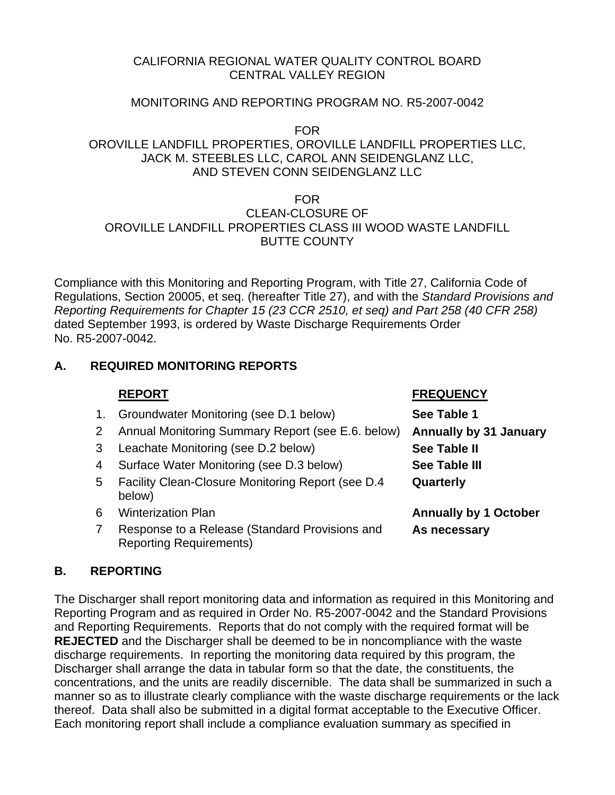## CALIFORNIA REGIONAL WATER QUALITY CONTROL BOARD CENTRAL VALLEY REGION

# MONITORING AND REPORTING PROGRAM NO. R5-2007-0042

FOR

# OROVILLE LANDFILL PROPERTIES, OROVILLE LANDFILL PROPERTIES LLC, JACK M. STEEBLES LLC, CAROL ANN SEIDENGLANZ LLC, AND STEVEN CONN SEIDENGLANZ LLC

# FOR CLEAN-CLOSURE OF OROVILLE LANDFILL PROPERTIES CLASS III WOOD WASTE LANDFILL BUTTE COUNTY

Compliance with this Monitoring and Reporting Program, with Title 27, California Code of Regulations, Section 20005, et seq. (hereafter Title 27), and with the *Standard Provisions and Reporting Requirements for Chapter 15 (23 CCR 2510, et seq) and Part 258 (40 CFR 258)* dated September 1993, is ordered by Waste Discharge Requirements Order No. R5-2007-0042.

# **A. REQUIRED MONITORING REPORTS**

# **REPORT FREQUENCY** 1. Groundwater Monitoring (see D.1 below) **See Table 1**

- 2 Annual Monitoring Summary Report (see E.6. below) **Annually by 31 January**
- 3 Leachate Monitoring (see D.2 below) **See Table II**
- 4 Surface Water Monitoring (see D.3 below) **See Table III**
- 5 Facility Clean-Closure Monitoring Report (see D.4 below)
- 
- 7 Response to a Release (Standard Provisions and Reporting Requirements)

**Quarterly** 

6 Winterization Plan **Annually by 1 October As necessary** 

# **B. REPORTING**

The Discharger shall report monitoring data and information as required in this Monitoring and Reporting Program and as required in Order No. R5-2007-0042 and the Standard Provisions and Reporting Requirements. Reports that do not comply with the required format will be **REJECTED** and the Discharger shall be deemed to be in noncompliance with the waste discharge requirements. In reporting the monitoring data required by this program, the Discharger shall arrange the data in tabular form so that the date, the constituents, the concentrations, and the units are readily discernible. The data shall be summarized in such a manner so as to illustrate clearly compliance with the waste discharge requirements or the lack thereof. Data shall also be submitted in a digital format acceptable to the Executive Officer. Each monitoring report shall include a compliance evaluation summary as specified in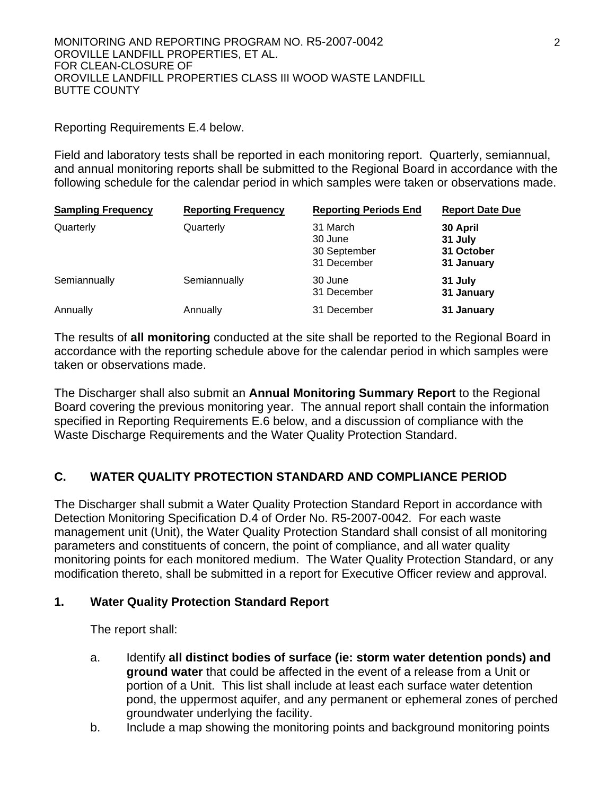### Reporting Requirements E.4 below.

Field and laboratory tests shall be reported in each monitoring report. Quarterly, semiannual, and annual monitoring reports shall be submitted to the Regional Board in accordance with the following schedule for the calendar period in which samples were taken or observations made.

| <b>Sampling Frequency</b> | <b>Reporting Frequency</b> | <b>Reporting Periods End</b>                       | <b>Report Date Due</b>                          |
|---------------------------|----------------------------|----------------------------------------------------|-------------------------------------------------|
| Quarterly                 | Quarterly                  | 31 March<br>30 June<br>30 September<br>31 December | 30 April<br>31 July<br>31 October<br>31 January |
| Semiannually              | Semiannually               | 30 June<br>31 December                             | 31 July<br>31 January                           |
| Annually                  | Annually                   | 31 December                                        | 31 January                                      |

The results of **all monitoring** conducted at the site shall be reported to the Regional Board in accordance with the reporting schedule above for the calendar period in which samples were taken or observations made.

The Discharger shall also submit an **Annual Monitoring Summary Report** to the Regional Board covering the previous monitoring year. The annual report shall contain the information specified in Reporting Requirements E.6 below, and a discussion of compliance with the Waste Discharge Requirements and the Water Quality Protection Standard.

# **C. WATER QUALITY PROTECTION STANDARD AND COMPLIANCE PERIOD**

The Discharger shall submit a Water Quality Protection Standard Report in accordance with Detection Monitoring Specification D.4 of Order No. R5-2007-0042. For each waste management unit (Unit), the Water Quality Protection Standard shall consist of all monitoring parameters and constituents of concern, the point of compliance, and all water quality monitoring points for each monitored medium. The Water Quality Protection Standard, or any modification thereto, shall be submitted in a report for Executive Officer review and approval.

## **1. Water Quality Protection Standard Report**

The report shall:

- a. Identify **all distinct bodies of surface (ie: storm water detention ponds) and ground water** that could be affected in the event of a release from a Unit or portion of a Unit. This list shall include at least each surface water detention pond, the uppermost aquifer, and any permanent or ephemeral zones of perched groundwater underlying the facility.
- b. Include a map showing the monitoring points and background monitoring points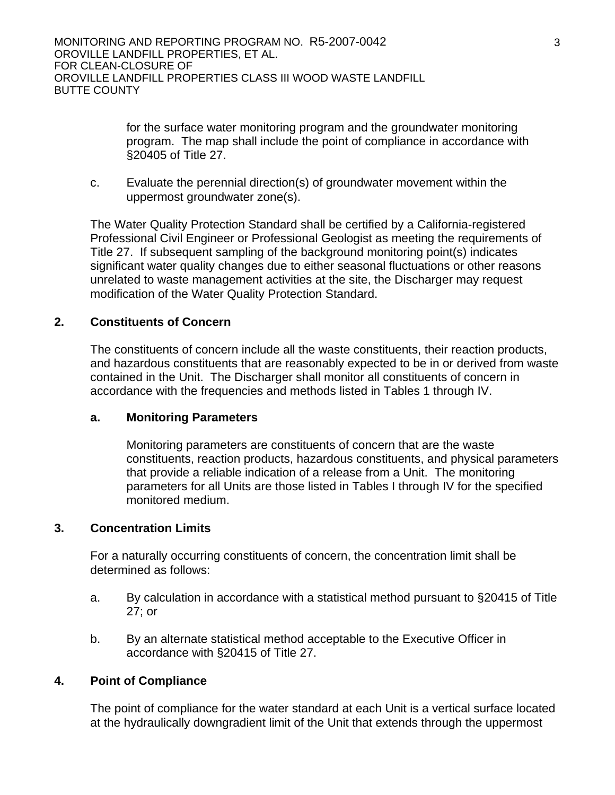for the surface water monitoring program and the groundwater monitoring program. The map shall include the point of compliance in accordance with §20405 of Title 27.

c. Evaluate the perennial direction(s) of groundwater movement within the uppermost groundwater zone(s).

The Water Quality Protection Standard shall be certified by a California-registered Professional Civil Engineer or Professional Geologist as meeting the requirements of Title 27. If subsequent sampling of the background monitoring point(s) indicates significant water quality changes due to either seasonal fluctuations or other reasons unrelated to waste management activities at the site, the Discharger may request modification of the Water Quality Protection Standard.

# **2. Constituents of Concern**

The constituents of concern include all the waste constituents, their reaction products, and hazardous constituents that are reasonably expected to be in or derived from waste contained in the Unit. The Discharger shall monitor all constituents of concern in accordance with the frequencies and methods listed in Tables 1 through IV.

## **a. Monitoring Parameters**

 Monitoring parameters are constituents of concern that are the waste constituents, reaction products, hazardous constituents, and physical parameters that provide a reliable indication of a release from a Unit. The monitoring parameters for all Units are those listed in Tables I through IV for the specified monitored medium.

## **3. Concentration Limits**

For a naturally occurring constituents of concern, the concentration limit shall be determined as follows:

- a. By calculation in accordance with a statistical method pursuant to §20415 of Title 27; or
- b. By an alternate statistical method acceptable to the Executive Officer in accordance with §20415 of Title 27.

#### **4. Point of Compliance**

The point of compliance for the water standard at each Unit is a vertical surface located at the hydraulically downgradient limit of the Unit that extends through the uppermost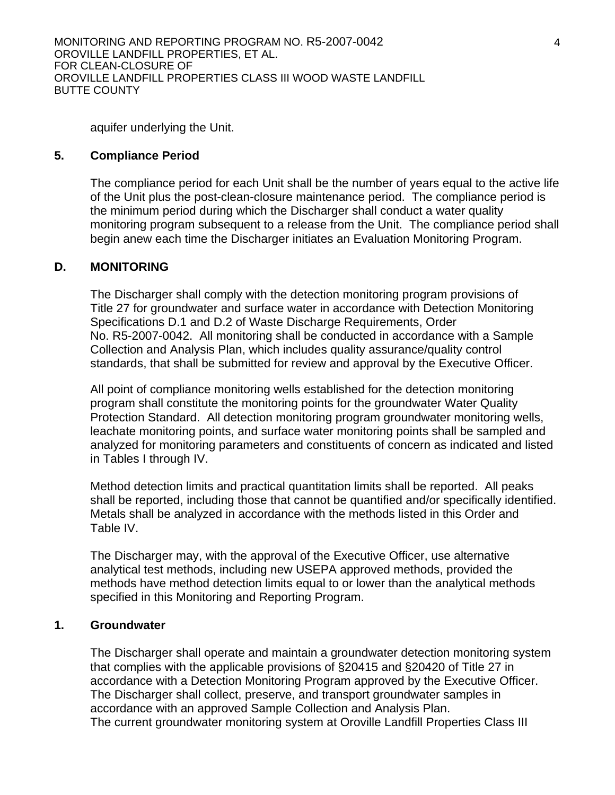MONITORING AND REPORTING PROGRAM NO. R5-2007-0042 OROVILLE LANDFILL PROPERTIES, ET AL. FOR CLEAN-CLOSURE OF OROVILLE LANDFILL PROPERTIES CLASS III WOOD WASTE LANDFILL BUTTE COUNTY

aquifer underlying the Unit.

### **5. Compliance Period**

The compliance period for each Unit shall be the number of years equal to the active life of the Unit plus the post-clean-closure maintenance period. The compliance period is the minimum period during which the Discharger shall conduct a water quality monitoring program subsequent to a release from the Unit. The compliance period shall begin anew each time the Discharger initiates an Evaluation Monitoring Program.

### **D. MONITORING**

The Discharger shall comply with the detection monitoring program provisions of Title 27 for groundwater and surface water in accordance with Detection Monitoring Specifications D.1 and D.2 of Waste Discharge Requirements, Order No. R5-2007-0042. All monitoring shall be conducted in accordance with a Sample Collection and Analysis Plan, which includes quality assurance/quality control standards, that shall be submitted for review and approval by the Executive Officer.

All point of compliance monitoring wells established for the detection monitoring program shall constitute the monitoring points for the groundwater Water Quality Protection Standard. All detection monitoring program groundwater monitoring wells, leachate monitoring points, and surface water monitoring points shall be sampled and analyzed for monitoring parameters and constituents of concern as indicated and listed in Tables I through IV.

Method detection limits and practical quantitation limits shall be reported. All peaks shall be reported, including those that cannot be quantified and/or specifically identified. Metals shall be analyzed in accordance with the methods listed in this Order and Table IV.

The Discharger may, with the approval of the Executive Officer, use alternative analytical test methods, including new USEPA approved methods, provided the methods have method detection limits equal to or lower than the analytical methods specified in this Monitoring and Reporting Program.

#### **1. Groundwater**

The Discharger shall operate and maintain a groundwater detection monitoring system that complies with the applicable provisions of §20415 and §20420 of Title 27 in accordance with a Detection Monitoring Program approved by the Executive Officer. The Discharger shall collect, preserve, and transport groundwater samples in accordance with an approved Sample Collection and Analysis Plan. The current groundwater monitoring system at Oroville Landfill Properties Class III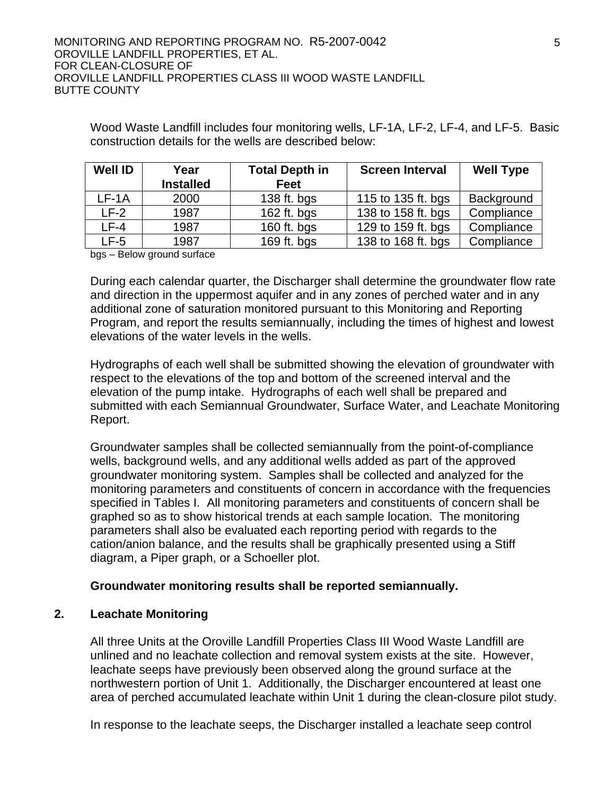Wood Waste Landfill includes four monitoring wells, LF-1A, LF-2, LF-4, and LF-5. Basic construction details for the wells are described below:

| <b>Well ID</b> | Year             | <b>Total Depth in</b> | <b>Screen Interval</b> | <b>Well Type</b> |
|----------------|------------------|-----------------------|------------------------|------------------|
|                | <b>Installed</b> | <b>Feet</b>           |                        |                  |
| $LF-1A$        | 2000             | 138 ft. bgs           | 115 to 135 ft. bgs     | Background       |
| $LF-2$         | 1987             | 162 ft. bgs           | 138 to 158 ft. bgs     | Compliance       |
| LF-4           | 1987             | 160 ft. bgs           | 129 to 159 ft. bgs     | Compliance       |
| LF-5           | 1987             | 169 ft. bgs           | 138 to 168 ft. bgs     | Compliance       |

bgs – Below ground surface

During each calendar quarter, the Discharger shall determine the groundwater flow rate and direction in the uppermost aquifer and in any zones of perched water and in any additional zone of saturation monitored pursuant to this Monitoring and Reporting Program, and report the results semiannually, including the times of highest and lowest elevations of the water levels in the wells.

Hydrographs of each well shall be submitted showing the elevation of groundwater with respect to the elevations of the top and bottom of the screened interval and the elevation of the pump intake. Hydrographs of each well shall be prepared and submitted with each Semiannual Groundwater, Surface Water, and Leachate Monitoring Report.

Groundwater samples shall be collected semiannually from the point-of-compliance wells, background wells, and any additional wells added as part of the approved groundwater monitoring system. Samples shall be collected and analyzed for the monitoring parameters and constituents of concern in accordance with the frequencies specified in Tables I. All monitoring parameters and constituents of concern shall be graphed so as to show historical trends at each sample location. The monitoring parameters shall also be evaluated each reporting period with regards to the cation/anion balance, and the results shall be graphically presented using a Stiff diagram, a Piper graph, or a Schoeller plot.

## **Groundwater monitoring results shall be reported semiannually.**

## **2. Leachate Monitoring**

All three Units at the Oroville Landfill Properties Class III Wood Waste Landfill are unlined and no leachate collection and removal system exists at the site. However, leachate seeps have previously been observed along the ground surface at the northwestern portion of Unit 1. Additionally, the Discharger encountered at least one area of perched accumulated leachate within Unit 1 during the clean-closure pilot study.

In response to the leachate seeps, the Discharger installed a leachate seep control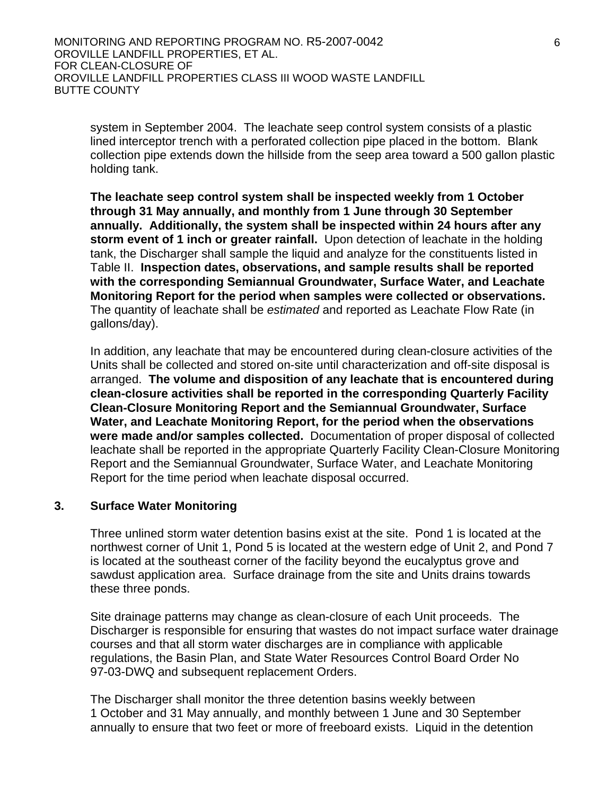MONITORING AND REPORTING PROGRAM NO. R5-2007-0042 OROVILLE LANDFILL PROPERTIES, ET AL. FOR CLEAN-CLOSURE OF OROVILLE LANDFILL PROPERTIES CLASS III WOOD WASTE LANDFILL BUTTE COUNTY

system in September 2004. The leachate seep control system consists of a plastic lined interceptor trench with a perforated collection pipe placed in the bottom. Blank collection pipe extends down the hillside from the seep area toward a 500 gallon plastic holding tank.

**The leachate seep control system shall be inspected weekly from 1 October through 31 May annually, and monthly from 1 June through 30 September annually. Additionally, the system shall be inspected within 24 hours after any storm event of 1 inch or greater rainfall.** Upon detection of leachate in the holding tank, the Discharger shall sample the liquid and analyze for the constituents listed in Table II. **Inspection dates, observations, and sample results shall be reported with the corresponding Semiannual Groundwater, Surface Water, and Leachate Monitoring Report for the period when samples were collected or observations.** The quantity of leachate shall be *estimated* and reported as Leachate Flow Rate (in gallons/day).

In addition, any leachate that may be encountered during clean-closure activities of the Units shall be collected and stored on-site until characterization and off-site disposal is arranged. **The volume and disposition of any leachate that is encountered during clean-closure activities shall be reported in the corresponding Quarterly Facility Clean-Closure Monitoring Report and the Semiannual Groundwater, Surface Water, and Leachate Monitoring Report, for the period when the observations were made and/or samples collected.** Documentation of proper disposal of collected leachate shall be reported in the appropriate Quarterly Facility Clean-Closure Monitoring Report and the Semiannual Groundwater, Surface Water, and Leachate Monitoring Report for the time period when leachate disposal occurred.

#### **3. Surface Water Monitoring**

Three unlined storm water detention basins exist at the site. Pond 1 is located at the northwest corner of Unit 1, Pond 5 is located at the western edge of Unit 2, and Pond 7 is located at the southeast corner of the facility beyond the eucalyptus grove and sawdust application area. Surface drainage from the site and Units drains towards these three ponds.

Site drainage patterns may change as clean-closure of each Unit proceeds. The Discharger is responsible for ensuring that wastes do not impact surface water drainage courses and that all storm water discharges are in compliance with applicable regulations, the Basin Plan, and State Water Resources Control Board Order No 97-03-DWQ and subsequent replacement Orders.

The Discharger shall monitor the three detention basins weekly between 1 October and 31 May annually, and monthly between 1 June and 30 September annually to ensure that two feet or more of freeboard exists. Liquid in the detention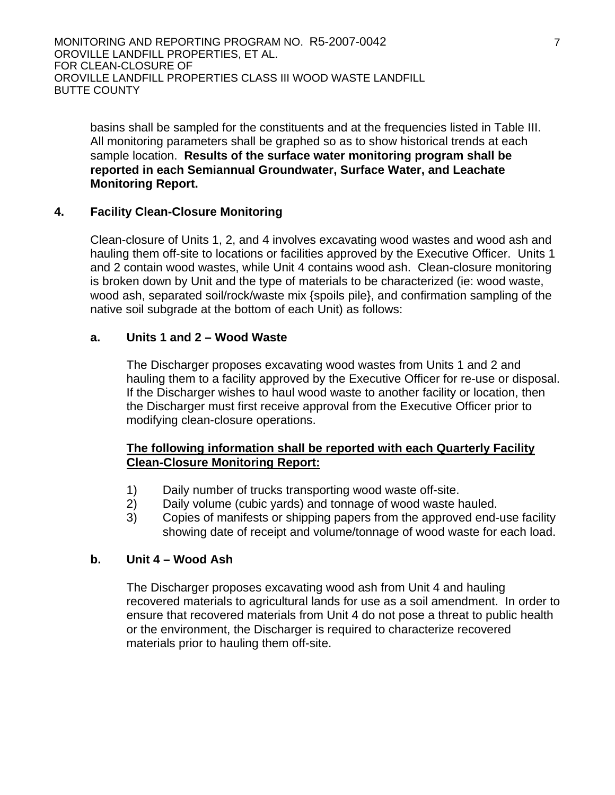MONITORING AND REPORTING PROGRAM NO. R5-2007-0042 OROVILLE LANDFILL PROPERTIES, ET AL. FOR CLEAN-CLOSURE OF OROVILLE LANDFILL PROPERTIES CLASS III WOOD WASTE LANDFILL BUTTE COUNTY

basins shall be sampled for the constituents and at the frequencies listed in Table III. All monitoring parameters shall be graphed so as to show historical trends at each sample location. **Results of the surface water monitoring program shall be reported in each Semiannual Groundwater, Surface Water, and Leachate Monitoring Report.** 

## **4. Facility Clean-Closure Monitoring**

Clean-closure of Units 1, 2, and 4 involves excavating wood wastes and wood ash and hauling them off-site to locations or facilities approved by the Executive Officer. Units 1 and 2 contain wood wastes, while Unit 4 contains wood ash. Clean-closure monitoring is broken down by Unit and the type of materials to be characterized (ie: wood waste, wood ash, separated soil/rock/waste mix {spoils pile}, and confirmation sampling of the native soil subgrade at the bottom of each Unit) as follows:

# **a. Units 1 and 2 – Wood Waste**

The Discharger proposes excavating wood wastes from Units 1 and 2 and hauling them to a facility approved by the Executive Officer for re-use or disposal. If the Discharger wishes to haul wood waste to another facility or location, then the Discharger must first receive approval from the Executive Officer prior to modifying clean-closure operations.

# **The following information shall be reported with each Quarterly Facility Clean-Closure Monitoring Report:**

- 1) Daily number of trucks transporting wood waste off-site.
- 2) Daily volume (cubic yards) and tonnage of wood waste hauled.
- 3) Copies of manifests or shipping papers from the approved end-use facility showing date of receipt and volume/tonnage of wood waste for each load.

## **b. Unit 4 – Wood Ash**

The Discharger proposes excavating wood ash from Unit 4 and hauling recovered materials to agricultural lands for use as a soil amendment. In order to ensure that recovered materials from Unit 4 do not pose a threat to public health or the environment, the Discharger is required to characterize recovered materials prior to hauling them off-site.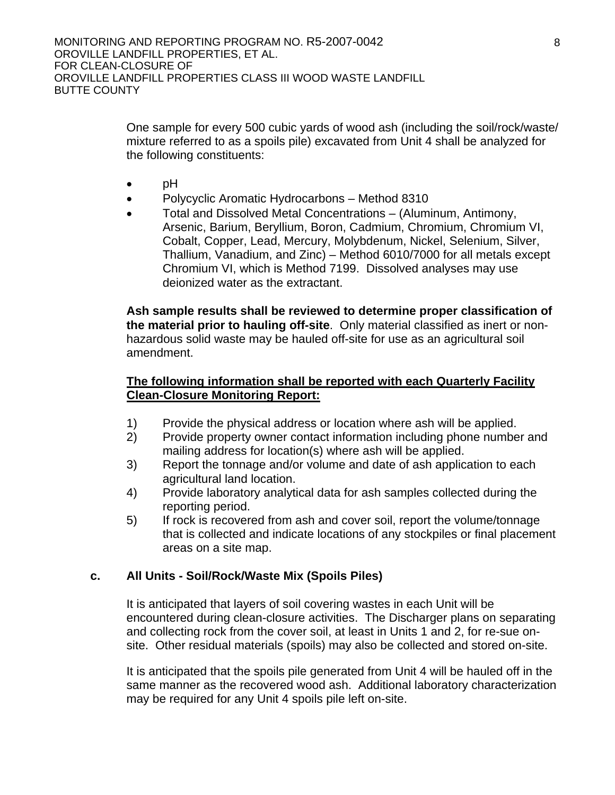One sample for every 500 cubic yards of wood ash (including the soil/rock/waste/ mixture referred to as a spoils pile) excavated from Unit 4 shall be analyzed for the following constituents:

- pH
- Polycyclic Aromatic Hydrocarbons Method 8310
- Total and Dissolved Metal Concentrations (Aluminum, Antimony, Arsenic, Barium, Beryllium, Boron, Cadmium, Chromium, Chromium VI, Cobalt, Copper, Lead, Mercury, Molybdenum, Nickel, Selenium, Silver, Thallium, Vanadium, and Zinc) – Method 6010/7000 for all metals except Chromium VI, which is Method 7199. Dissolved analyses may use deionized water as the extractant.

**Ash sample results shall be reviewed to determine proper classification of the material prior to hauling off-site**. Only material classified as inert or nonhazardous solid waste may be hauled off-site for use as an agricultural soil amendment.

# **The following information shall be reported with each Quarterly Facility Clean-Closure Monitoring Report:**

- 1) Provide the physical address or location where ash will be applied.
- 2) Provide property owner contact information including phone number and mailing address for location(s) where ash will be applied.
- 3) Report the tonnage and/or volume and date of ash application to each agricultural land location.
- 4) Provide laboratory analytical data for ash samples collected during the reporting period.
- 5) If rock is recovered from ash and cover soil, report the volume/tonnage that is collected and indicate locations of any stockpiles or final placement areas on a site map.

# **c. All Units - Soil/Rock/Waste Mix (Spoils Piles)**

It is anticipated that layers of soil covering wastes in each Unit will be encountered during clean-closure activities. The Discharger plans on separating and collecting rock from the cover soil, at least in Units 1 and 2, for re-sue onsite. Other residual materials (spoils) may also be collected and stored on-site.

It is anticipated that the spoils pile generated from Unit 4 will be hauled off in the same manner as the recovered wood ash. Additional laboratory characterization may be required for any Unit 4 spoils pile left on-site.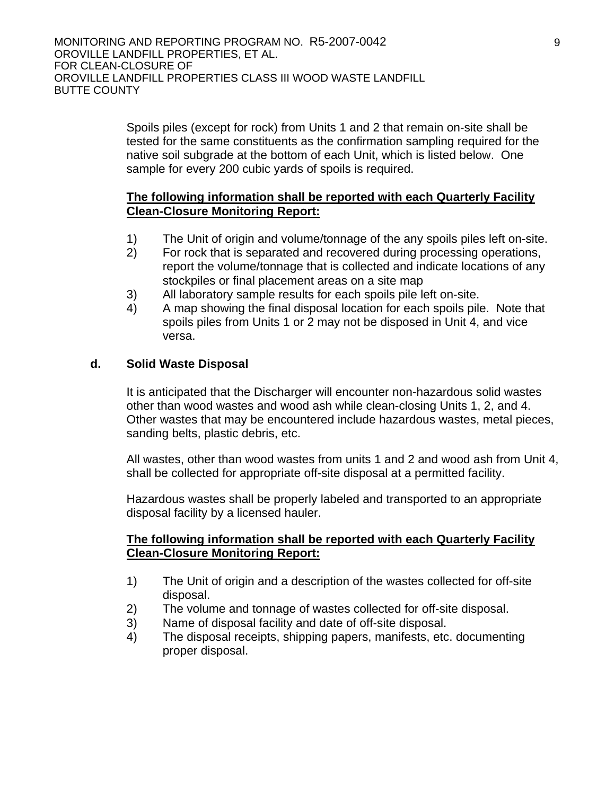Spoils piles (except for rock) from Units 1 and 2 that remain on-site shall be tested for the same constituents as the confirmation sampling required for the native soil subgrade at the bottom of each Unit, which is listed below. One sample for every 200 cubic yards of spoils is required.

# **The following information shall be reported with each Quarterly Facility Clean-Closure Monitoring Report:**

- 1) The Unit of origin and volume/tonnage of the any spoils piles left on-site.
- 2) For rock that is separated and recovered during processing operations, report the volume/tonnage that is collected and indicate locations of any stockpiles or final placement areas on a site map
- 3) All laboratory sample results for each spoils pile left on-site.
- 4) A map showing the final disposal location for each spoils pile. Note that spoils piles from Units 1 or 2 may not be disposed in Unit 4, and vice versa.

# **d. Solid Waste Disposal**

It is anticipated that the Discharger will encounter non-hazardous solid wastes other than wood wastes and wood ash while clean-closing Units 1, 2, and 4. Other wastes that may be encountered include hazardous wastes, metal pieces, sanding belts, plastic debris, etc.

All wastes, other than wood wastes from units 1 and 2 and wood ash from Unit 4, shall be collected for appropriate off-site disposal at a permitted facility.

Hazardous wastes shall be properly labeled and transported to an appropriate disposal facility by a licensed hauler.

## **The following information shall be reported with each Quarterly Facility Clean-Closure Monitoring Report:**

- 1) The Unit of origin and a description of the wastes collected for off-site disposal.
- 2) The volume and tonnage of wastes collected for off-site disposal.
- 3) Name of disposal facility and date of off-site disposal.
- 4) The disposal receipts, shipping papers, manifests, etc. documenting proper disposal.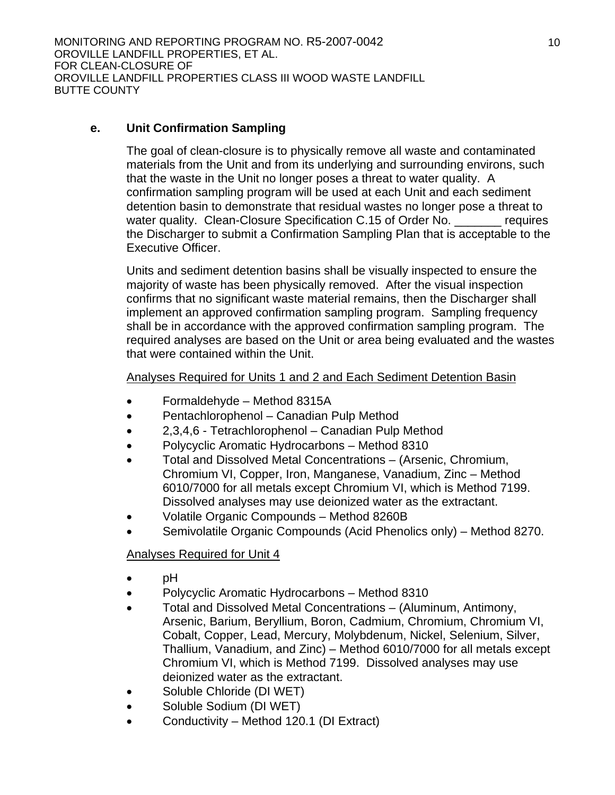# **e. Unit Confirmation Sampling**

The goal of clean-closure is to physically remove all waste and contaminated materials from the Unit and from its underlying and surrounding environs, such that the waste in the Unit no longer poses a threat to water quality. A confirmation sampling program will be used at each Unit and each sediment detention basin to demonstrate that residual wastes no longer pose a threat to water quality. Clean-Closure Specification C.15 of Order No. <u>\_\_\_\_\_\_\_</u> requires the Discharger to submit a Confirmation Sampling Plan that is acceptable to the Executive Officer.

Units and sediment detention basins shall be visually inspected to ensure the majority of waste has been physically removed. After the visual inspection confirms that no significant waste material remains, then the Discharger shall implement an approved confirmation sampling program. Sampling frequency shall be in accordance with the approved confirmation sampling program. The required analyses are based on the Unit or area being evaluated and the wastes that were contained within the Unit.

# Analyses Required for Units 1 and 2 and Each Sediment Detention Basin

- Formaldehyde Method 8315A
- Pentachlorophenol Canadian Pulp Method
- 2,3,4,6 Tetrachlorophenol Canadian Pulp Method
- Polycyclic Aromatic Hydrocarbons Method 8310
- Total and Dissolved Metal Concentrations (Arsenic, Chromium, Chromium VI, Copper, Iron, Manganese, Vanadium, Zinc – Method 6010/7000 for all metals except Chromium VI, which is Method 7199. Dissolved analyses may use deionized water as the extractant.
- Volatile Organic Compounds Method 8260B
- Semivolatile Organic Compounds (Acid Phenolics only) Method 8270.

# Analyses Required for Unit 4

- pH
- Polycyclic Aromatic Hydrocarbons Method 8310
- Total and Dissolved Metal Concentrations (Aluminum, Antimony, Arsenic, Barium, Beryllium, Boron, Cadmium, Chromium, Chromium VI, Cobalt, Copper, Lead, Mercury, Molybdenum, Nickel, Selenium, Silver, Thallium, Vanadium, and Zinc) – Method 6010/7000 for all metals except Chromium VI, which is Method 7199. Dissolved analyses may use deionized water as the extractant.
- Soluble Chloride (DI WET)
- Soluble Sodium (DI WET)
- Conductivity Method 120.1 (DI Extract)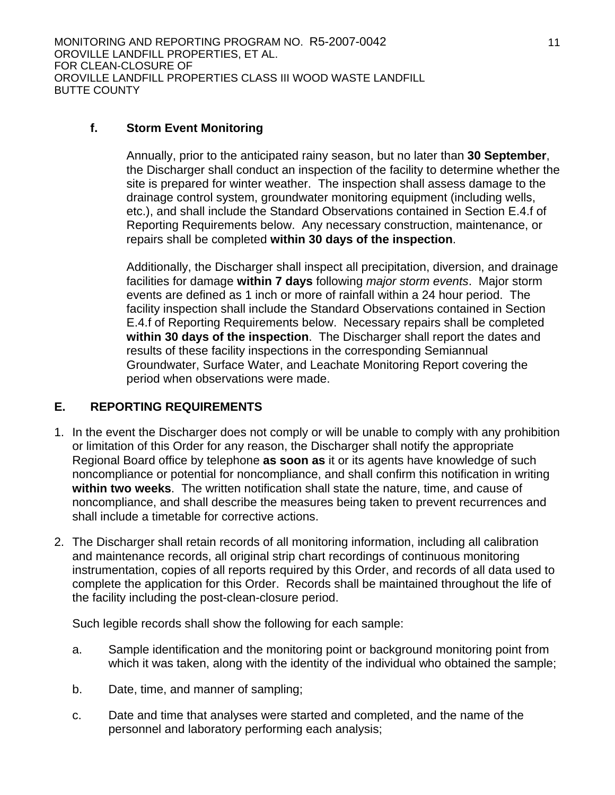# **f. Storm Event Monitoring**

Annually, prior to the anticipated rainy season, but no later than **30 September**, the Discharger shall conduct an inspection of the facility to determine whether the site is prepared for winter weather. The inspection shall assess damage to the drainage control system, groundwater monitoring equipment (including wells, etc.), and shall include the Standard Observations contained in Section E.4.f of Reporting Requirements below. Any necessary construction, maintenance, or repairs shall be completed **within 30 days of the inspection**.

Additionally, the Discharger shall inspect all precipitation, diversion, and drainage facilities for damage **within 7 days** following *major storm events*. Major storm events are defined as 1 inch or more of rainfall within a 24 hour period. The facility inspection shall include the Standard Observations contained in Section E.4.f of Reporting Requirements below. Necessary repairs shall be completed **within 30 days of the inspection**. The Discharger shall report the dates and results of these facility inspections in the corresponding Semiannual Groundwater, Surface Water, and Leachate Monitoring Report covering the period when observations were made.

# **E. REPORTING REQUIREMENTS**

- 1. In the event the Discharger does not comply or will be unable to comply with any prohibition or limitation of this Order for any reason, the Discharger shall notify the appropriate Regional Board office by telephone **as soon as** it or its agents have knowledge of such noncompliance or potential for noncompliance, and shall confirm this notification in writing **within two weeks**. The written notification shall state the nature, time, and cause of noncompliance, and shall describe the measures being taken to prevent recurrences and shall include a timetable for corrective actions.
- 2. The Discharger shall retain records of all monitoring information, including all calibration and maintenance records, all original strip chart recordings of continuous monitoring instrumentation, copies of all reports required by this Order, and records of all data used to complete the application for this Order. Records shall be maintained throughout the life of the facility including the post-clean-closure period.

Such legible records shall show the following for each sample:

- a. Sample identification and the monitoring point or background monitoring point from which it was taken, along with the identity of the individual who obtained the sample;
- b. Date, time, and manner of sampling;
- c. Date and time that analyses were started and completed, and the name of the personnel and laboratory performing each analysis;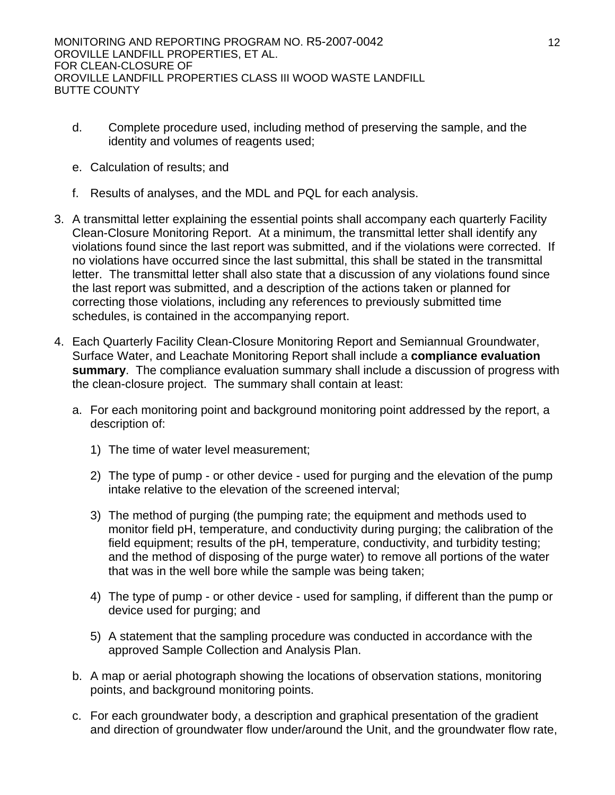- d. Complete procedure used, including method of preserving the sample, and the identity and volumes of reagents used;
- e. Calculation of results; and
- f. Results of analyses, and the MDL and PQL for each analysis.
- 3. A transmittal letter explaining the essential points shall accompany each quarterly Facility Clean-Closure Monitoring Report. At a minimum, the transmittal letter shall identify any violations found since the last report was submitted, and if the violations were corrected. If no violations have occurred since the last submittal, this shall be stated in the transmittal letter. The transmittal letter shall also state that a discussion of any violations found since the last report was submitted, and a description of the actions taken or planned for correcting those violations, including any references to previously submitted time schedules, is contained in the accompanying report.
- 4. Each Quarterly Facility Clean-Closure Monitoring Report and Semiannual Groundwater, Surface Water, and Leachate Monitoring Report shall include a **compliance evaluation summary**. The compliance evaluation summary shall include a discussion of progress with the clean-closure project. The summary shall contain at least:
	- a. For each monitoring point and background monitoring point addressed by the report, a description of:
		- 1) The time of water level measurement;
		- 2) The type of pump or other device used for purging and the elevation of the pump intake relative to the elevation of the screened interval;
		- 3) The method of purging (the pumping rate; the equipment and methods used to monitor field pH, temperature, and conductivity during purging; the calibration of the field equipment; results of the pH, temperature, conductivity, and turbidity testing; and the method of disposing of the purge water) to remove all portions of the water that was in the well bore while the sample was being taken;
		- 4) The type of pump or other device used for sampling, if different than the pump or device used for purging; and
		- 5) A statement that the sampling procedure was conducted in accordance with the approved Sample Collection and Analysis Plan.
	- b. A map or aerial photograph showing the locations of observation stations, monitoring points, and background monitoring points.
	- c. For each groundwater body, a description and graphical presentation of the gradient and direction of groundwater flow under/around the Unit, and the groundwater flow rate,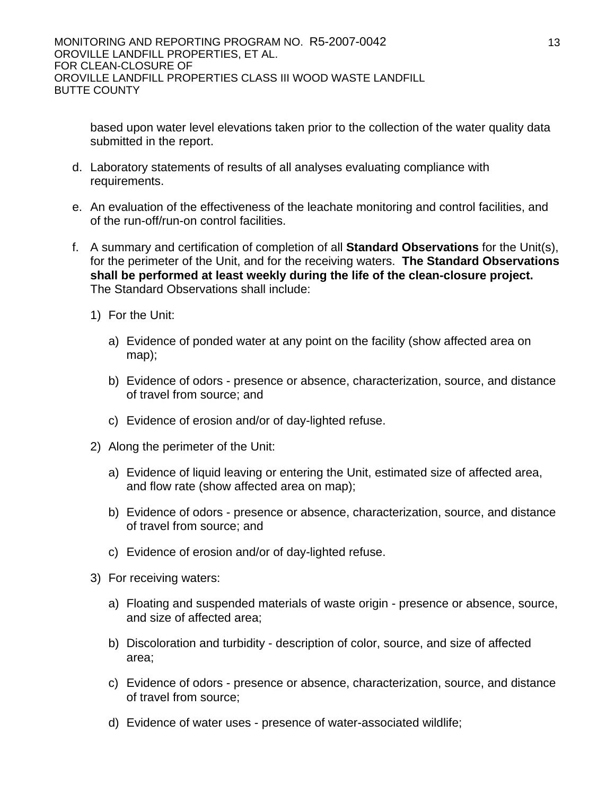based upon water level elevations taken prior to the collection of the water quality data submitted in the report.

- d. Laboratory statements of results of all analyses evaluating compliance with requirements.
- e. An evaluation of the effectiveness of the leachate monitoring and control facilities, and of the run-off/run-on control facilities.
- f. A summary and certification of completion of all **Standard Observations** for the Unit(s), for the perimeter of the Unit, and for the receiving waters. **The Standard Observations shall be performed at least weekly during the life of the clean-closure project.** The Standard Observations shall include:
	- 1) For the Unit:
		- a) Evidence of ponded water at any point on the facility (show affected area on map);
		- b) Evidence of odors presence or absence, characterization, source, and distance of travel from source; and
		- c) Evidence of erosion and/or of day-lighted refuse.
	- 2) Along the perimeter of the Unit:
		- a) Evidence of liquid leaving or entering the Unit, estimated size of affected area, and flow rate (show affected area on map);
		- b) Evidence of odors presence or absence, characterization, source, and distance of travel from source; and
		- c) Evidence of erosion and/or of day-lighted refuse.
	- 3) For receiving waters:
		- a) Floating and suspended materials of waste origin presence or absence, source, and size of affected area;
		- b) Discoloration and turbidity description of color, source, and size of affected area;
		- c) Evidence of odors presence or absence, characterization, source, and distance of travel from source;
		- d) Evidence of water uses presence of water-associated wildlife;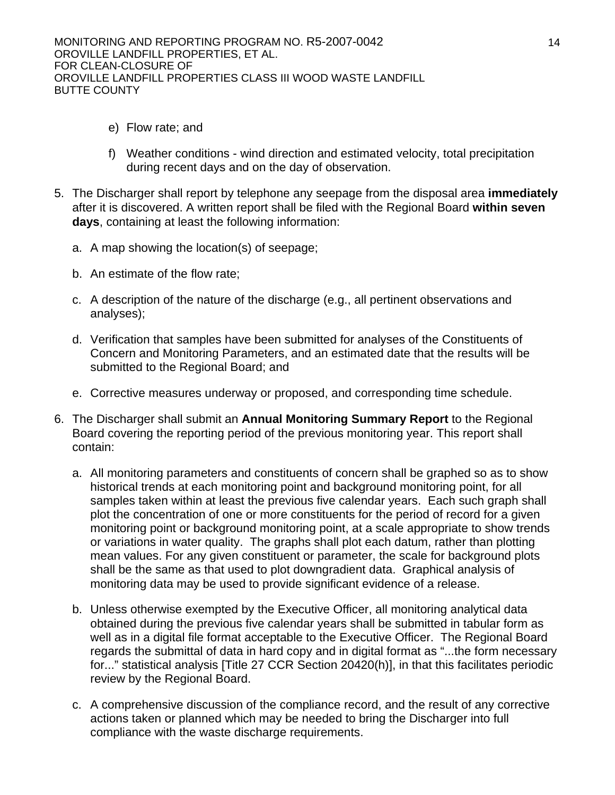MONITORING AND REPORTING PROGRAM NO. R5-2007-0042 OROVILLE LANDFILL PROPERTIES, ET AL. FOR CLEAN-CLOSURE OF OROVILLE LANDFILL PROPERTIES CLASS III WOOD WASTE LANDFILL BUTTE COUNTY

- e) Flow rate; and
- f) Weather conditions wind direction and estimated velocity, total precipitation during recent days and on the day of observation.
- 5. The Discharger shall report by telephone any seepage from the disposal area **immediately** after it is discovered. A written report shall be filed with the Regional Board **within seven days**, containing at least the following information:
	- a. A map showing the location(s) of seepage;
	- b. An estimate of the flow rate;
	- c. A description of the nature of the discharge (e.g., all pertinent observations and analyses);
	- d. Verification that samples have been submitted for analyses of the Constituents of Concern and Monitoring Parameters, and an estimated date that the results will be submitted to the Regional Board; and
	- e. Corrective measures underway or proposed, and corresponding time schedule.
- 6. The Discharger shall submit an **Annual Monitoring Summary Report** to the Regional Board covering the reporting period of the previous monitoring year. This report shall contain:
	- a. All monitoring parameters and constituents of concern shall be graphed so as to show historical trends at each monitoring point and background monitoring point, for all samples taken within at least the previous five calendar years. Each such graph shall plot the concentration of one or more constituents for the period of record for a given monitoring point or background monitoring point, at a scale appropriate to show trends or variations in water quality. The graphs shall plot each datum, rather than plotting mean values. For any given constituent or parameter, the scale for background plots shall be the same as that used to plot downgradient data. Graphical analysis of monitoring data may be used to provide significant evidence of a release.
	- b. Unless otherwise exempted by the Executive Officer, all monitoring analytical data obtained during the previous five calendar years shall be submitted in tabular form as well as in a digital file format acceptable to the Executive Officer. The Regional Board regards the submittal of data in hard copy and in digital format as "...the form necessary for..." statistical analysis [Title 27 CCR Section 20420(h)], in that this facilitates periodic review by the Regional Board.
	- c. A comprehensive discussion of the compliance record, and the result of any corrective actions taken or planned which may be needed to bring the Discharger into full compliance with the waste discharge requirements.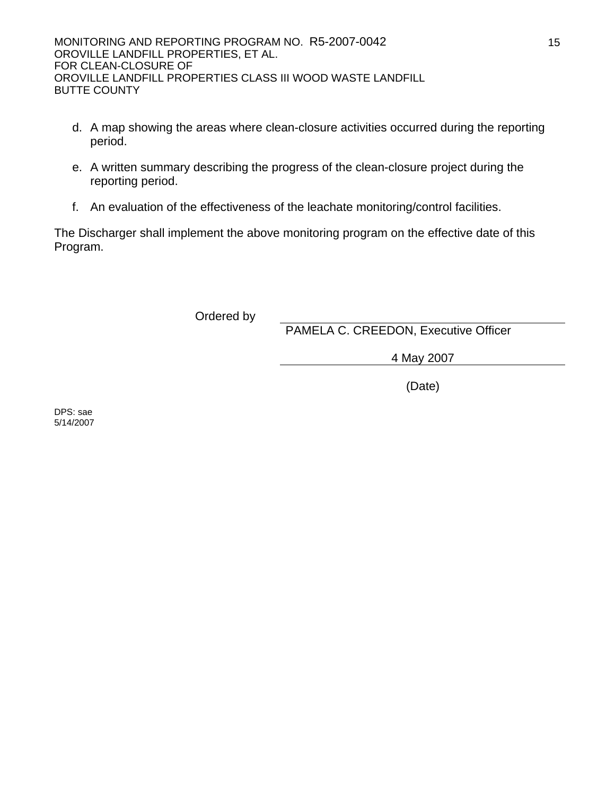- d. A map showing the areas where clean-closure activities occurred during the reporting period.
- e. A written summary describing the progress of the clean-closure project during the reporting period.
- f. An evaluation of the effectiveness of the leachate monitoring/control facilities.

The Discharger shall implement the above monitoring program on the effective date of this Program.

Ordered by

PAMELA C. CREEDON, Executive Officer

4 May 2007

(Date)

DPS: sae 5/14/2007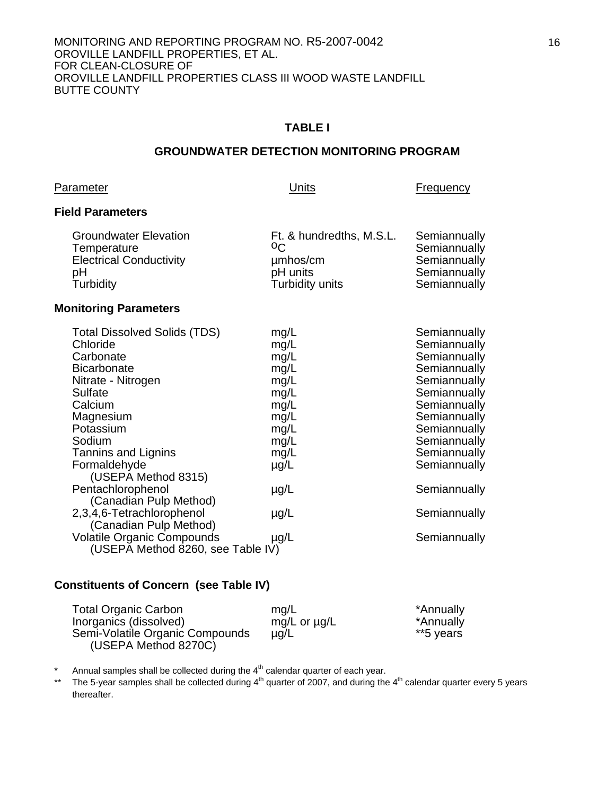#### **GROUNDWATER DETECTION MONITORING PROGRAM**

#### Parameter **Parameter Parameter Example 2 Units Units Example 2 Prequency**

#### **Field Parameters**

| <b>Groundwater Elevation</b>   | Ft. & hundredths, M.S.L. | Semiannually |
|--------------------------------|--------------------------|--------------|
| Temperature                    | OC.                      | Semiannually |
| <b>Electrical Conductivity</b> | µmbos/cm                 | Semiannually |
| pН                             | pH units                 | Semiannually |
| Turbidity                      | Turbidity units          |              |

#### **Monitoring Parameters**

| <b>Total Dissolved Solids (TDS)</b><br>Chloride | mg/L<br>mg/L | Semiannually<br>Semiannually |
|-------------------------------------------------|--------------|------------------------------|
| Carbonate                                       | mg/L         | Semiannually                 |
| <b>Bicarbonate</b>                              | mg/L         | Semiannually                 |
| Nitrate - Nitrogen                              | mg/L         | Semiannually                 |
| <b>Sulfate</b>                                  | mg/L         | Semiannually                 |
| Calcium                                         | mg/L         | Semiannually                 |
| Magnesium                                       | mg/L         | Semiannually                 |
| Potassium                                       | mg/L         | Semiannually                 |
| Sodium                                          | mg/L         | Semiannually                 |
| Tannins and Lignins                             | mg/L         | Semiannually                 |
| Formaldehyde                                    | $\mu$ g/L    | Semiannually                 |
| (USEPA Method 8315)                             |              |                              |
| Pentachlorophenol                               | $\mu$ g/L    | Semiannually                 |
| (Canadian Pulp Method)                          |              |                              |
| 2,3,4,6-Tetrachlorophenol                       | $\mu$ g/L    | Semiannually                 |
| (Canadian Pulp Method)                          |              |                              |
| <b>Volatile Organic Compounds</b>               | $\mu$ g/L    | Semiannually                 |
| (USEPA Method 8260, see Table IV)               |              |                              |

#### **Constituents of Concern (see Table IV)**

| <b>Total Organic Carbon</b>     | mq/L              | *Annually |
|---------------------------------|-------------------|-----------|
| Inorganics (dissolved)          | mg/L or $\mu$ g/L | *Annually |
| Semi-Volatile Organic Compounds | $\mu$ g/L         | **5 years |
| (USEPA Method 8270C)            |                   |           |

\* Annual samples shall be collected during the  $4<sup>th</sup>$  calendar quarter of each year.

\*\* The 5-year samples shall be collected during  $4<sup>th</sup>$  quarter of 2007, and during the  $4<sup>th</sup>$  calendar quarter every 5 years thereafter.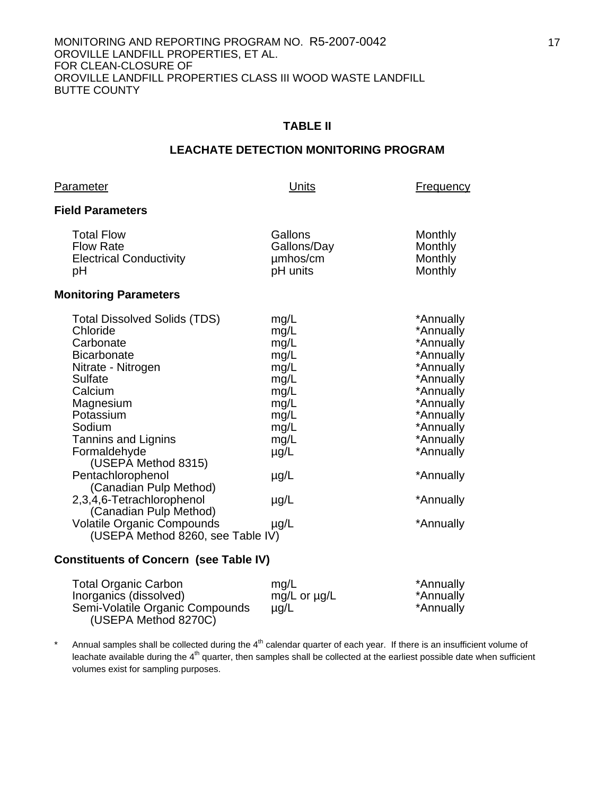#### **TABLE II**

#### **LEACHATE DETECTION MONITORING PROGRAM**

**Units Prequency** 

#### **Field Parameters**

| <b>Total Flow</b><br><b>Flow Rate</b><br><b>Electrical Conductivity</b><br>рH                                                                                                                                                                                                                                                          | Gallons<br>Gallons/Day<br>umhos/cm<br>pH units                                                                              | Monthly<br>Monthly<br>Monthly<br>Monthly                                                                                                                                           |
|----------------------------------------------------------------------------------------------------------------------------------------------------------------------------------------------------------------------------------------------------------------------------------------------------------------------------------------|-----------------------------------------------------------------------------------------------------------------------------|------------------------------------------------------------------------------------------------------------------------------------------------------------------------------------|
| <b>Monitoring Parameters</b>                                                                                                                                                                                                                                                                                                           |                                                                                                                             |                                                                                                                                                                                    |
| <b>Total Dissolved Solids (TDS)</b><br>Chloride<br>Carbonate<br><b>Bicarbonate</b><br>Nitrate - Nitrogen<br>Sulfate<br>Calcium<br>Magnesium<br>Potassium<br>Sodium<br>Tannins and Lignins<br>Formaldehyde<br>(USEPA Method 8315)<br>Pentachlorophenol<br>(Canadian Pulp Method)<br>2,3,4,6-Tetrachlorophenol<br>(Canadian Pulp Method) | mg/L<br>mg/L<br>mg/L<br>mg/L<br>mg/L<br>mg/L<br>mg/L<br>mg/L<br>mg/L<br>mg/L<br>mg/L<br>$\mu$ g/L<br>$\mu$ g/L<br>$\mu$ g/L | *Annually<br>*Annually<br>*Annually<br>*Annually<br>*Annually<br>*Annually<br>*Annually<br>*Annually<br>*Annually<br>*Annually<br>*Annually<br>*Annually<br>*Annually<br>*Annually |
| <b>Volatile Organic Compounds</b><br>(USEPA Method 8260, see Table IV)                                                                                                                                                                                                                                                                 | $\mu$ g/L                                                                                                                   | *Annually                                                                                                                                                                          |

#### **Constituents of Concern (see Table IV)**

| <b>Total Organic Carbon</b>     | mq/L              | *Annually |
|---------------------------------|-------------------|-----------|
| Inorganics (dissolved)          | mg/L or $\mu$ g/L | *Annually |
| Semi-Volatile Organic Compounds | $\mu$ g/L         | *Annually |
| (USEPA Method 8270C)            |                   |           |

\* Annual samples shall be collected during the  $4<sup>th</sup>$  calendar quarter of each year. If there is an insufficient volume of leachate available during the 4<sup>th</sup> quarter, then samples shall be collected at the earliest possible date when sufficient volumes exist for sampling purposes.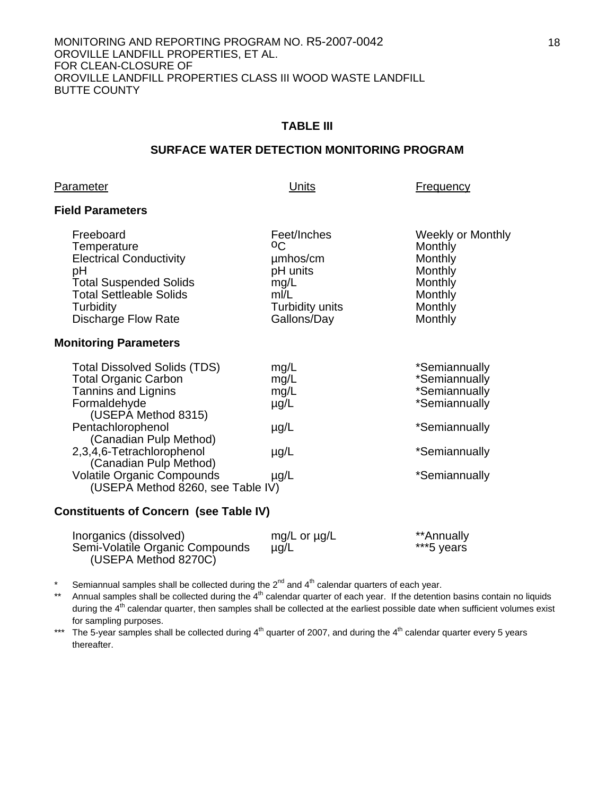#### **TABLE III**

#### **SURFACE WATER DETECTION MONITORING PROGRAM**

#### **Parameter Example 2 Parameter Example 2 Units Example 2 Example 2 Example 2 C**

#### **Field Parameters**

| Freeboard<br>Temperature<br><b>Electrical Conductivity</b><br>рH<br><b>Total Suspended Solids</b><br><b>Total Settleable Solids</b><br>Turbidity<br><b>Discharge Flow Rate</b> | Feet/Inches<br>οC<br>umhos/cm<br>pH units<br>mg/L<br>m/L<br>Turbidity units<br>Gallons/Day | <b>Weekly or Monthly</b><br>Monthly<br>Monthly<br>Monthly<br>Monthly<br>Monthly<br>Monthly<br>Monthly |
|--------------------------------------------------------------------------------------------------------------------------------------------------------------------------------|--------------------------------------------------------------------------------------------|-------------------------------------------------------------------------------------------------------|
| <b>Monitoring Parameters</b>                                                                                                                                                   |                                                                                            |                                                                                                       |
| <b>Total Dissolved Solids (TDS)</b><br><b>Total Organic Carbon</b><br><b>Tannins and Lignins</b><br>Formaldehyde<br>(USEPA Method 8315)                                        | mg/L<br>mg/L<br>mg/L<br>$\mu$ g/L                                                          | *Semiannually<br>*Semiannually<br>*Semiannually<br>*Semiannually                                      |
| Pentachlorophenol<br>(Canadian Pulp Method)                                                                                                                                    | $\mu$ g/L                                                                                  | *Semiannually                                                                                         |
| 2,3,4,6-Tetrachlorophenol<br>(Canadian Pulp Method)                                                                                                                            | $\mu$ g/L                                                                                  | *Semiannually                                                                                         |
| <b>Volatile Organic Compounds</b>                                                                                                                                              | $\mu$ g/L                                                                                  | *Semiannually                                                                                         |

(USEPA Method 8260, see Table IV)

#### **Constituents of Concern (see Table IV)**

| Inorganics (dissolved)          | mg/L or $\mu$ g/L | **Annually |
|---------------------------------|-------------------|------------|
| Semi-Volatile Organic Compounds | $\mu$ q/L         | ***5 years |
| (USEPA Method 8270C)            |                   |            |

Semiannual samples shall be collected during the  $2<sup>nd</sup>$  and  $4<sup>th</sup>$  calendar quarters of each year.

\*\* Annual samples shall be collected during the 4<sup>th</sup> calendar quarter of each year. If the detention basins contain no liquids during the  $4<sup>th</sup>$  calendar quarter, then samples shall be collected at the earliest possible date when sufficient volumes exist for sampling purposes.

\*\*\* The 5-year samples shall be collected during  $4<sup>th</sup>$  quarter of 2007, and during the  $4<sup>th</sup>$  calendar quarter every 5 years thereafter.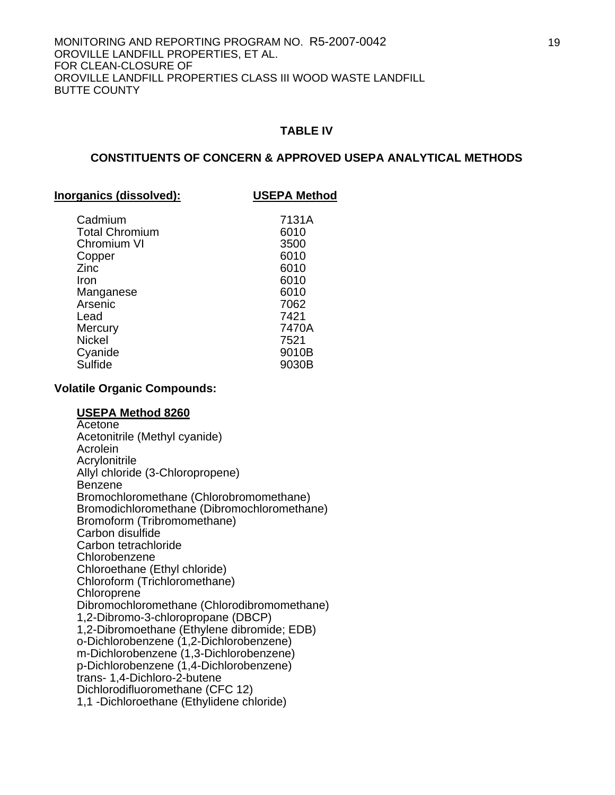#### **CONSTITUENTS OF CONCERN & APPROVED USEPA ANALYTICAL METHODS**

#### **Inorganics (dissolved): USEPA Method**

| Cadmium               | 7131A |
|-----------------------|-------|
| <b>Total Chromium</b> | 6010  |
| Chromium VI           | 3500  |
| Copper                | 6010  |
| Zinc                  | 6010  |
| Iron                  | 6010  |
| Manganese             | 6010  |
| Arsenic               | 7062  |
| Lead                  | 7421  |
| Mercury               | 7470A |
| <b>Nickel</b>         | 7521  |
| Cyanide               | 9010B |
| Sulfide               | 9030B |
|                       |       |

#### **Volatile Organic Compounds:**

#### **USEPA Method 8260**

**Acetone**  Acetonitrile (Methyl cyanide) Acrolein **Acrylonitrile**  Allyl chloride (3-Chloropropene) Benzene Bromochloromethane (Chlorobromomethane) Bromodichloromethane (Dibromochloromethane) Bromoform (Tribromomethane) Carbon disulfide Carbon tetrachloride Chlorobenzene Chloroethane (Ethyl chloride) Chloroform (Trichloromethane) **Chloroprene**  Dibromochloromethane (Chlorodibromomethane) 1,2-Dibromo-3-chloropropane (DBCP) 1,2-Dibromoethane (Ethylene dibromide; EDB) o-Dichlorobenzene (1,2-Dichlorobenzene) m-Dichlorobenzene (1,3-Dichlorobenzene) p-Dichlorobenzene (1,4-Dichlorobenzene) trans- 1,4-Dichloro-2-butene Dichlorodifluoromethane (CFC 12) 1,1 -Dichloroethane (Ethylidene chloride)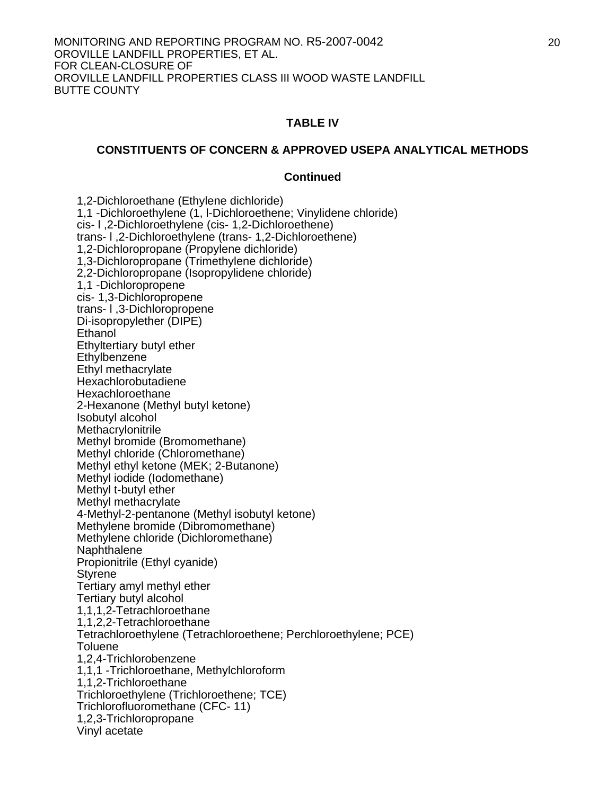#### **CONSTITUENTS OF CONCERN & APPROVED USEPA ANALYTICAL METHODS**

#### **Continued**

 1,2-Dichloroethane (Ethylene dichloride) 1,1 -Dichloroethylene (1, l-Dichloroethene; Vinylidene chloride) cis- l ,2-Dichloroethylene (cis- 1,2-Dichloroethene) trans- l ,2-Dichloroethylene (trans- 1,2-Dichloroethene) 1,2-Dichloropropane (Propylene dichloride) 1,3-Dichloropropane (Trimethylene dichloride) 2,2-Dichloropropane (Isopropylidene chloride) 1,1 -Dichloropropene cis- 1,3-Dichloropropene trans- l ,3-Dichloropropene Di-isopropylether (DIPE) Ethanol Ethyltertiary butyl ether **Ethylbenzene**  Ethyl methacrylate Hexachlorobutadiene Hexachloroethane 2-Hexanone (Methyl butyl ketone) Isobutyl alcohol **Methacrylonitrile**  Methyl bromide (Bromomethane) Methyl chloride (Chloromethane) Methyl ethyl ketone (MEK; 2-Butanone) Methyl iodide (Iodomethane) Methyl t-butyl ether Methyl methacrylate 4-Methyl-2-pentanone (Methyl isobutyl ketone) Methylene bromide (Dibromomethane) Methylene chloride (Dichloromethane) Naphthalene Propionitrile (Ethyl cyanide) Styrene Tertiary amyl methyl ether Tertiary butyl alcohol 1,1,1,2-Tetrachloroethane 1,1,2,2-Tetrachloroethane Tetrachloroethylene (Tetrachloroethene; Perchloroethylene; PCE) Toluene 1,2,4-Trichlorobenzene 1,1,1 -Trichloroethane, Methylchloroform 1,1,2-Trichloroethane Trichloroethylene (Trichloroethene; TCE) Trichlorofluoromethane (CFC- 11) 1,2,3-Trichloropropane Vinyl acetate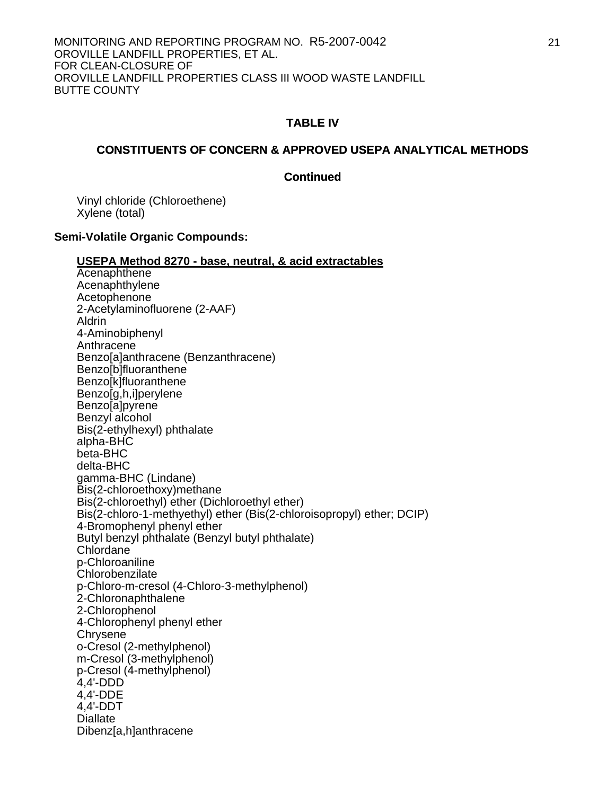#### **CONSTITUENTS OF CONCERN & APPROVED USEPA ANALYTICAL METHODS**

#### **Continued**

 Vinyl chloride (Chloroethene) Xylene (total)

#### **Semi-Volatile Organic Compounds:**

#### **USEPA Method 8270 - base, neutral, & acid extractables**

 Acenaphthene Acenaphthylene Acetophenone 2-Acetylaminofluorene (2-AAF) Aldrin 4-Aminobiphenyl **Anthracene**  Benzo[a]anthracene (Benzanthracene) Benzo[b]fluoranthene Benzo[k]fluoranthene Benzo[g,h,i]perylene Benzo[a]pyrene Benzyl alcohol Bis(2-ethylhexyl) phthalate alpha-BHC beta-BHC delta-BHC gamma-BHC (Lindane) Bis(2-chloroethoxy)methane Bis(2-chloroethyl) ether (Dichloroethyl ether) Bis(2-chloro-1-methyethyl) ether (Bis(2-chloroisopropyl) ether; DCIP) 4-Bromophenyl phenyl ether Butyl benzyl phthalate (Benzyl butyl phthalate) Chlordane<sup>®</sup> p-Chloroaniline **Chlorobenzilate** p-Chloro-m-cresol (4-Chloro-3-methylphenol) 2-Chloronaphthalene 2-Chlorophenol 4-Chlorophenyl phenyl ether **Chrysene** o-Cresol (2-methylphenol) m-Cresol (3-methylphenol) p-Cresol (4-methylphenol) 4,4'-DDD 4,4'-DDE 4,4'-DDT Diallate Dibenz[a,h]anthracene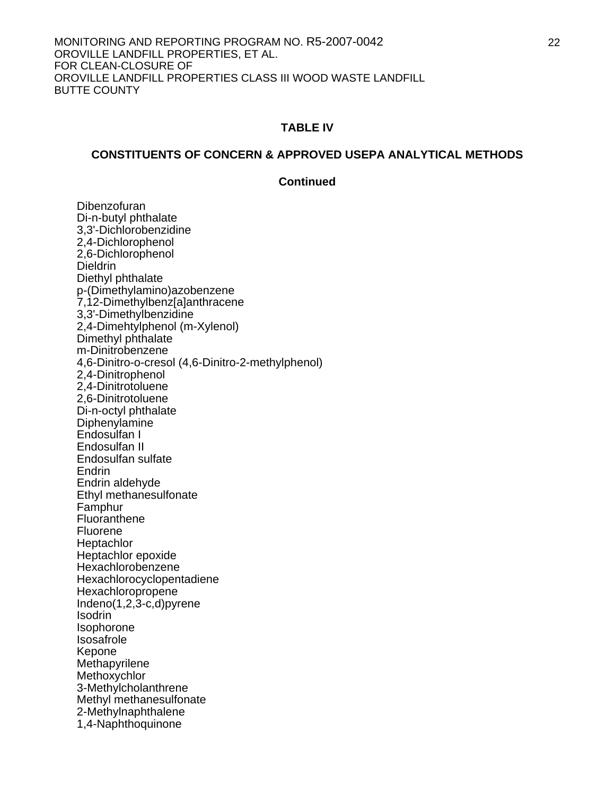#### **CONSTITUENTS OF CONCERN & APPROVED USEPA ANALYTICAL METHODS**

#### **Continued**

 Dibenzofuran Di-n-butyl phthalate 3,3'-Dichlorobenzidine 2,4-Dichlorophenol 2,6-Dichlorophenol **Dieldrin**  Diethyl phthalate p-(Dimethylamino)azobenzene 7,12-Dimethylbenz[a]anthracene 3,3'-Dimethylbenzidine 2,4-Dimehtylphenol (m-Xylenol) Dimethyl phthalate m-Dinitrobenzene 4,6-Dinitro-o-cresol (4,6-Dinitro-2-methylphenol) 2,4-Dinitrophenol 2,4-Dinitrotoluene 2,6-Dinitrotoluene Di-n-octyl phthalate **Diphenylamine**  Endosulfan I Endosulfan II Endosulfan sulfate **Endrin** Endrin aldehyde Ethyl methanesulfonate Famphur **Fluoranthene**  Fluorene **Heptachlor**  Heptachlor epoxide Hexachlorobenzene Hexachlorocyclopentadiene Hexachloropropene Indeno(1,2,3-c,d)pyrene Isodrin Isophorone Isosafrole Kepone **Methapyrilene Methoxychlor**  3-Methylcholanthrene Methyl methanesulfonate 2-Methylnaphthalene 1,4-Naphthoquinone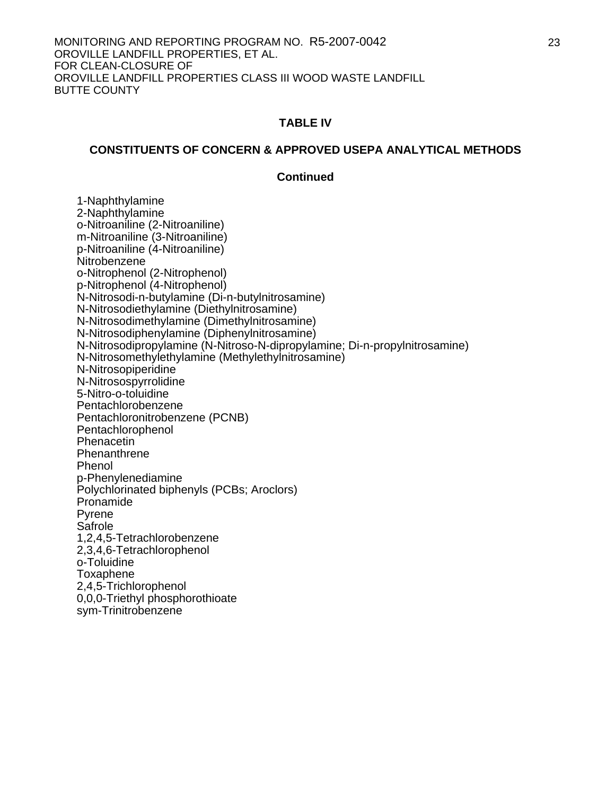#### **CONSTITUENTS OF CONCERN & APPROVED USEPA ANALYTICAL METHODS**

#### **Continued**

 1-Naphthylamine 2-Naphthylamine o-Nitroaniline (2-Nitroaniline) m-Nitroaniline (3-Nitroaniline) p-Nitroaniline (4-Nitroaniline) **Nitrobenzene**  o-Nitrophenol (2-Nitrophenol) p-Nitrophenol (4-Nitrophenol) N-Nitrosodi-n-butylamine (Di-n-butylnitrosamine) N-Nitrosodiethylamine (Diethylnitrosamine) N-Nitrosodimethylamine (Dimethylnitrosamine) N-Nitrosodiphenylamine (Diphenylnitrosamine) N-Nitrosodipropylamine (N-Nitroso-N-dipropylamine; Di-n-propylnitrosamine) N-Nitrosomethylethylamine (Methylethylnitrosamine) N-Nitrosopiperidine N-Nitrosospyrrolidine 5-Nitro-o-toluidine Pentachlorobenzene Pentachloronitrobenzene (PCNB) Pentachlorophenol **Phenacetin Phenanthrene** Phenol p-Phenylenediamine Polychlorinated biphenyls (PCBs; Aroclors) Pronamide Pyrene **Safrole** 1,2,4,5-Tetrachlorobenzene 2,3,4,6-Tetrachlorophenol o-Toluidine Toxaphene 2,4,5-Trichlorophenol 0,0,0-Triethyl phosphorothioate sym-Trinitrobenzene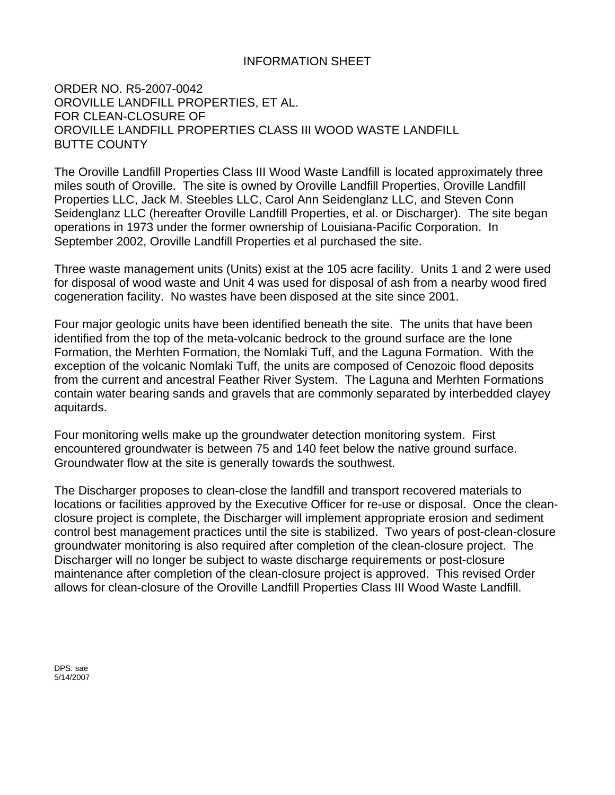### INFORMATION SHEET

ORDER NO. R5-2007-0042 OROVILLE LANDFILL PROPERTIES, ET AL. FOR CLEAN-CLOSURE OF OROVILLE LANDFILL PROPERTIES CLASS III WOOD WASTE LANDFILL BUTTE COUNTY

The Oroville Landfill Properties Class III Wood Waste Landfill is located approximately three miles south of Oroville. The site is owned by Oroville Landfill Properties, Oroville Landfill Properties LLC, Jack M. Steebles LLC, Carol Ann Seidenglanz LLC, and Steven Conn Seidenglanz LLC (hereafter Oroville Landfill Properties, et al. or Discharger). The site began operations in 1973 under the former ownership of Louisiana-Pacific Corporation. In September 2002, Oroville Landfill Properties et al purchased the site.

Three waste management units (Units) exist at the 105 acre facility. Units 1 and 2 were used for disposal of wood waste and Unit 4 was used for disposal of ash from a nearby wood fired cogeneration facility. No wastes have been disposed at the site since 2001.

Four major geologic units have been identified beneath the site. The units that have been identified from the top of the meta-volcanic bedrock to the ground surface are the Ione Formation, the Merhten Formation, the Nomlaki Tuff, and the Laguna Formation. With the exception of the volcanic Nomlaki Tuff, the units are composed of Cenozoic flood deposits from the current and ancestral Feather River System. The Laguna and Merhten Formations contain water bearing sands and gravels that are commonly separated by interbedded clayey aquitards.

Four monitoring wells make up the groundwater detection monitoring system. First encountered groundwater is between 75 and 140 feet below the native ground surface. Groundwater flow at the site is generally towards the southwest.

The Discharger proposes to clean-close the landfill and transport recovered materials to locations or facilities approved by the Executive Officer for re-use or disposal. Once the cleanclosure project is complete, the Discharger will implement appropriate erosion and sediment control best management practices until the site is stabilized. Two years of post-clean-closure groundwater monitoring is also required after completion of the clean-closure project. The Discharger will no longer be subject to waste discharge requirements or post-closure maintenance after completion of the clean-closure project is approved. This revised Order allows for clean-closure of the Oroville Landfill Properties Class III Wood Waste Landfill.

DPS: sae 5/14/2007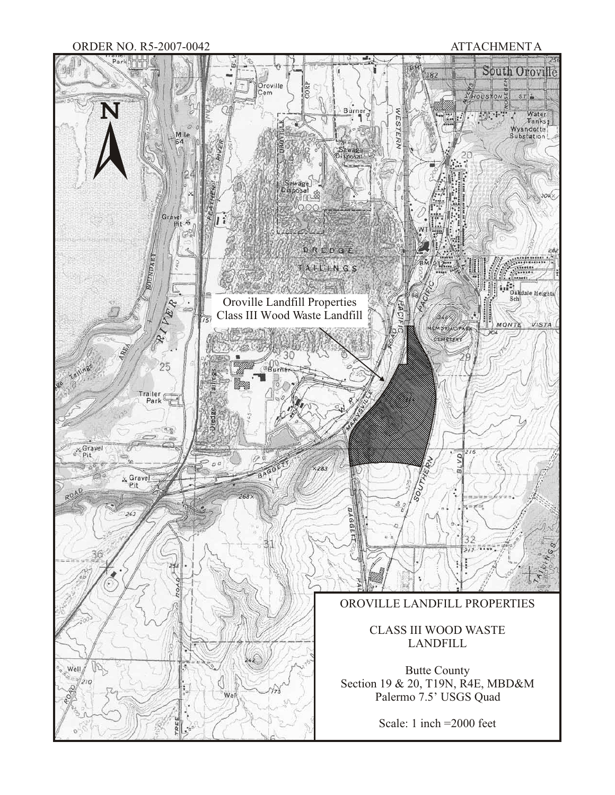#### ORDER NO. R5-2007-0042 ATTACHMENT A